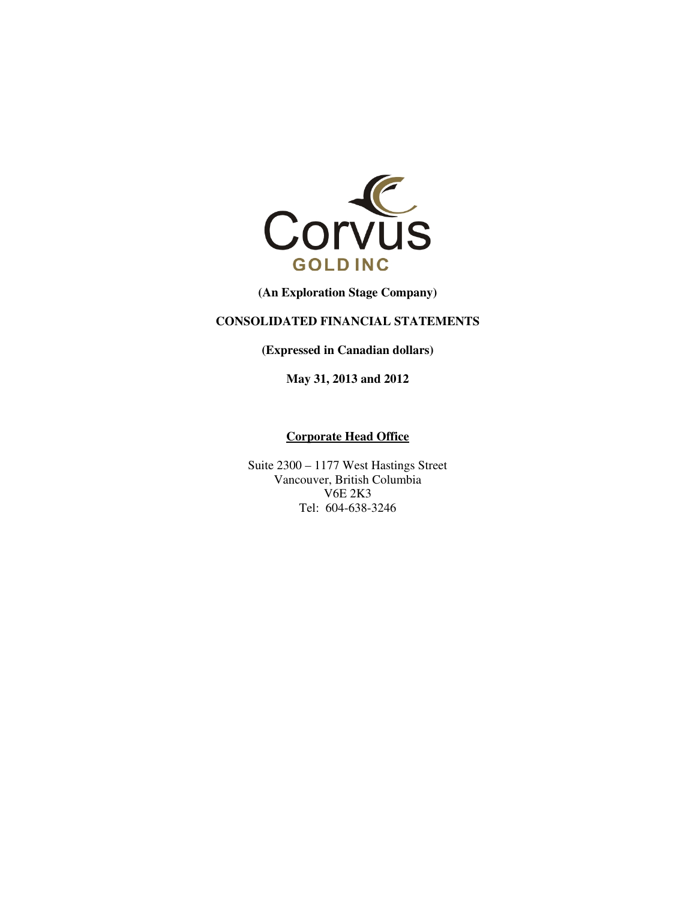

**(An Exploration Stage Company)** 

# **CONSOLIDATED FINANCIAL STATEMENTS**

**(Expressed in Canadian dollars)** 

**May 31, 2013 and 2012** 

# **Corporate Head Office**

Suite 2300 – 1177 West Hastings Street Vancouver, British Columbia V6E 2K3 Tel: 604-638-3246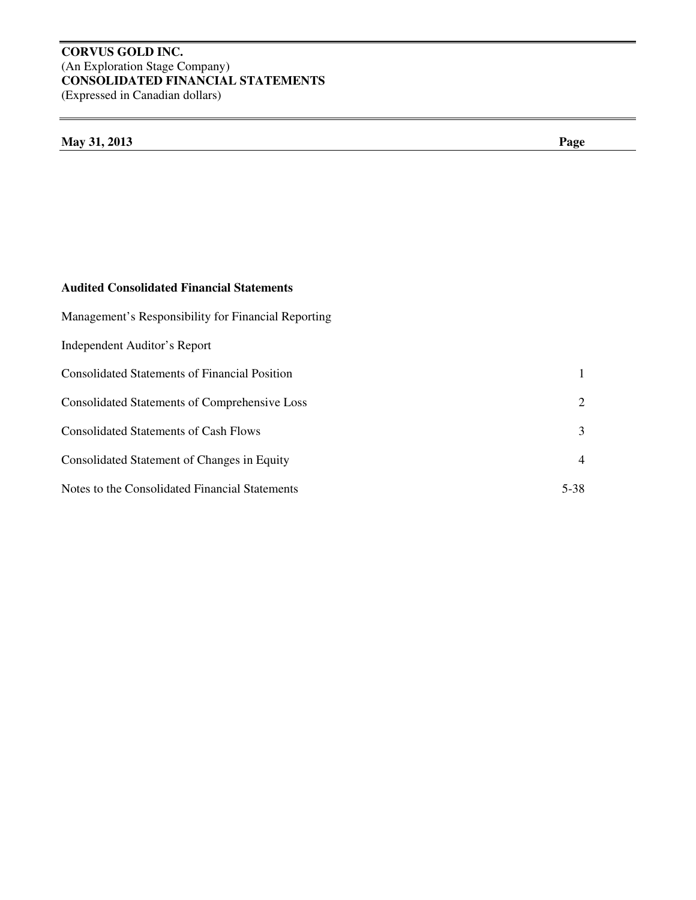# **CORVUS GOLD INC.**  (An Exploration Stage Company) **CONSOLIDATED FINANCIAL STATEMENTS**  (Expressed in Canadian dollars)

# **May 31, 2013 Page**

# **Audited Consolidated Financial Statements**

| Management's Responsibility for Financial Reporting  |                |
|------------------------------------------------------|----------------|
| Independent Auditor's Report                         |                |
| <b>Consolidated Statements of Financial Position</b> |                |
| <b>Consolidated Statements of Comprehensive Loss</b> | 2              |
| <b>Consolidated Statements of Cash Flows</b>         | 3              |
| Consolidated Statement of Changes in Equity          | $\overline{4}$ |
| Notes to the Consolidated Financial Statements       | $5 - 38$       |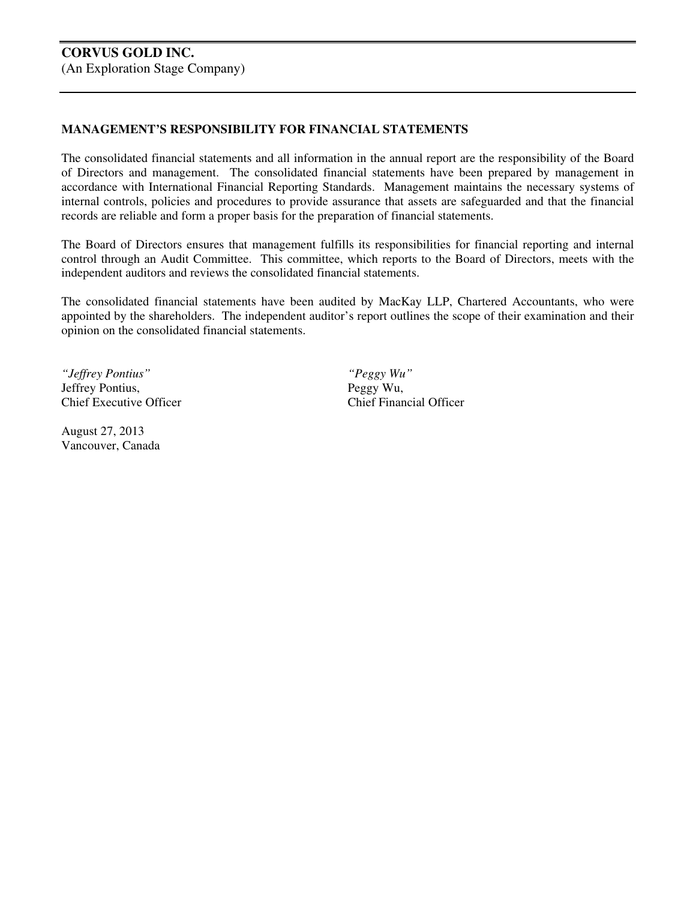# **MANAGEMENT'S RESPONSIBILITY FOR FINANCIAL STATEMENTS**

The consolidated financial statements and all information in the annual report are the responsibility of the Board of Directors and management. The consolidated financial statements have been prepared by management in accordance with International Financial Reporting Standards. Management maintains the necessary systems of internal controls, policies and procedures to provide assurance that assets are safeguarded and that the financial records are reliable and form a proper basis for the preparation of financial statements.

The Board of Directors ensures that management fulfills its responsibilities for financial reporting and internal control through an Audit Committee. This committee, which reports to the Board of Directors, meets with the independent auditors and reviews the consolidated financial statements.

The consolidated financial statements have been audited by MacKay LLP, Chartered Accountants, who were appointed by the shareholders. The independent auditor's report outlines the scope of their examination and their opinion on the consolidated financial statements.

*"Jeffrey Pontius" "Peggy Wu"*  Jeffrey Pontius, Peggy Wu,<br>
Chief Executive Officer<br>
Chief Einancial Officer Chief Executive Officer

August 27, 2013 Vancouver, Canada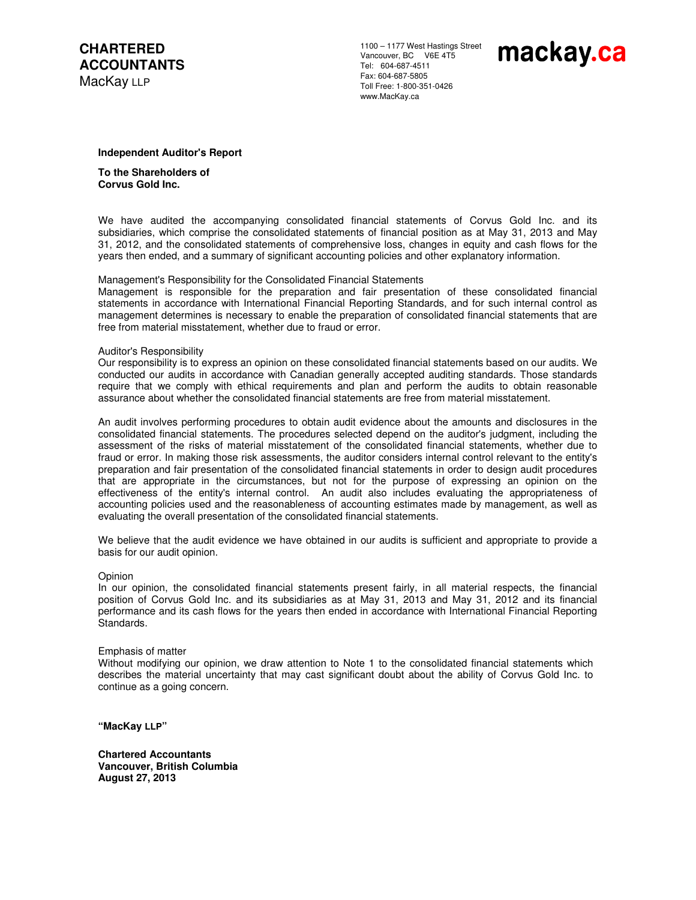**CHARTERED ACCOUNTANTS**  MacKay LLP

1100 – 1177 West Hastings Street Vancouver, BC V6E 4T5 Tel: 604-687-4511 Fax: 604-687-5805 Toll Free: 1-800-351-0426 www.MacKay.ca



#### **Independent Auditor's Report**

 **To the Shareholders of Corvus Gold Inc.** 

 We have audited the accompanying consolidated financial statements of Corvus Gold Inc. and its subsidiaries, which comprise the consolidated statements of financial position as at May 31, 2013 and May 31, 2012, and the consolidated statements of comprehensive loss, changes in equity and cash flows for the years then ended, and a summary of significant accounting policies and other explanatory information.

#### Management's Responsibility for the Consolidated Financial Statements

 Management is responsible for the preparation and fair presentation of these consolidated financial statements in accordance with International Financial Reporting Standards, and for such internal control as management determines is necessary to enable the preparation of consolidated financial statements that are free from material misstatement, whether due to fraud or error.

#### Auditor's Responsibility

 Our responsibility is to express an opinion on these consolidated financial statements based on our audits. We conducted our audits in accordance with Canadian generally accepted auditing standards. Those standards require that we comply with ethical requirements and plan and perform the audits to obtain reasonable assurance about whether the consolidated financial statements are free from material misstatement.

 An audit involves performing procedures to obtain audit evidence about the amounts and disclosures in the consolidated financial statements. The procedures selected depend on the auditor's judgment, including the assessment of the risks of material misstatement of the consolidated financial statements, whether due to fraud or error. In making those risk assessments, the auditor considers internal control relevant to the entity's preparation and fair presentation of the consolidated financial statements in order to design audit procedures that are appropriate in the circumstances, but not for the purpose of expressing an opinion on the effectiveness of the entity's internal control. An audit also includes evaluating the appropriateness of accounting policies used and the reasonableness of accounting estimates made by management, as well as evaluating the overall presentation of the consolidated financial statements.

We believe that the audit evidence we have obtained in our audits is sufficient and appropriate to provide a basis for our audit opinion.

#### Opinion

 In our opinion, the consolidated financial statements present fairly, in all material respects, the financial position of Corvus Gold Inc. and its subsidiaries as at May 31, 2013 and May 31, 2012 and its financial performance and its cash flows for the years then ended in accordance with International Financial Reporting Standards.

#### Emphasis of matter

Without modifying our opinion, we draw attention to Note 1 to the consolidated financial statements which describes the material uncertainty that may cast significant doubt about the ability of Corvus Gold Inc. to continue as a going concern.

**"MacKay LLP"** 

 **Chartered Accountants Vancouver, British Columbia August 27, 2013**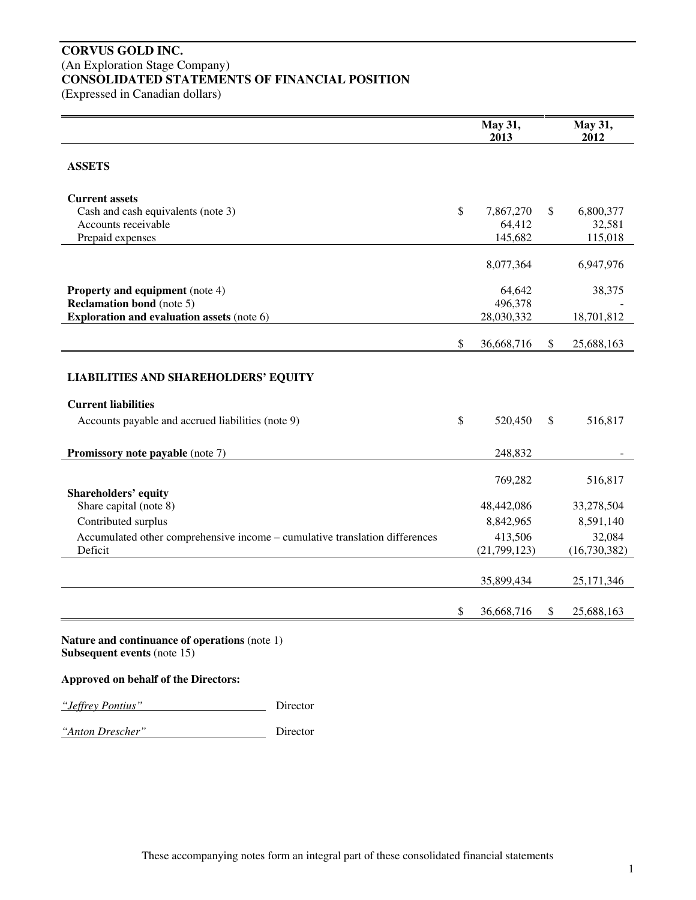# **CORVUS GOLD INC.**  (An Exploration Stage Company) **CONSOLIDATED STATEMENTS OF FINANCIAL POSITION**

(Expressed in Canadian dollars)

|                                                                             | May 31,<br>2013           | May 31,<br>2012     |
|-----------------------------------------------------------------------------|---------------------------|---------------------|
| <b>ASSETS</b>                                                               |                           |                     |
| <b>Current assets</b>                                                       |                           | \$                  |
| Cash and cash equivalents (note 3)<br>Accounts receivable                   | \$<br>7,867,270<br>64,412 | 6,800,377<br>32,581 |
| Prepaid expenses                                                            | 145,682                   | 115,018             |
|                                                                             |                           |                     |
|                                                                             | 8,077,364                 | 6,947,976           |
| <b>Property and equipment</b> (note 4)                                      | 64,642                    | 38,375              |
| <b>Reclamation bond</b> (note 5)                                            | 496,378                   |                     |
| <b>Exploration and evaluation assets (note 6)</b>                           | 28,030,332                | 18,701,812          |
|                                                                             | \$<br>36,668,716          | \$<br>25,688,163    |
| <b>LIABILITIES AND SHAREHOLDERS' EQUITY</b>                                 |                           |                     |
| <b>Current liabilities</b>                                                  |                           |                     |
| Accounts payable and accrued liabilities (note 9)                           | \$<br>520,450             | \$<br>516,817       |
|                                                                             |                           |                     |
| Promissory note payable (note 7)                                            | 248,832                   |                     |
|                                                                             | 769,282                   | 516,817             |
| <b>Shareholders' equity</b><br>Share capital (note 8)                       | 48,442,086                | 33,278,504          |
| Contributed surplus                                                         | 8,842,965                 | 8,591,140           |
| Accumulated other comprehensive income - cumulative translation differences | 413,506                   | 32,084              |
| Deficit                                                                     | (21,799,123)              | (16,730,382)        |
|                                                                             |                           |                     |
|                                                                             | 35,899,434                | 25,171,346          |
|                                                                             | \$<br>36,668,716          | \$<br>25,688,163    |
| <b>Nature and continuance of operations (note 1)</b>                        |                           |                     |

**Subsequent events (note 15)** 

# **Approved on behalf of the Directors:**

*"Jeffrey Pontius"* Director

*"Anton Drescher"* Director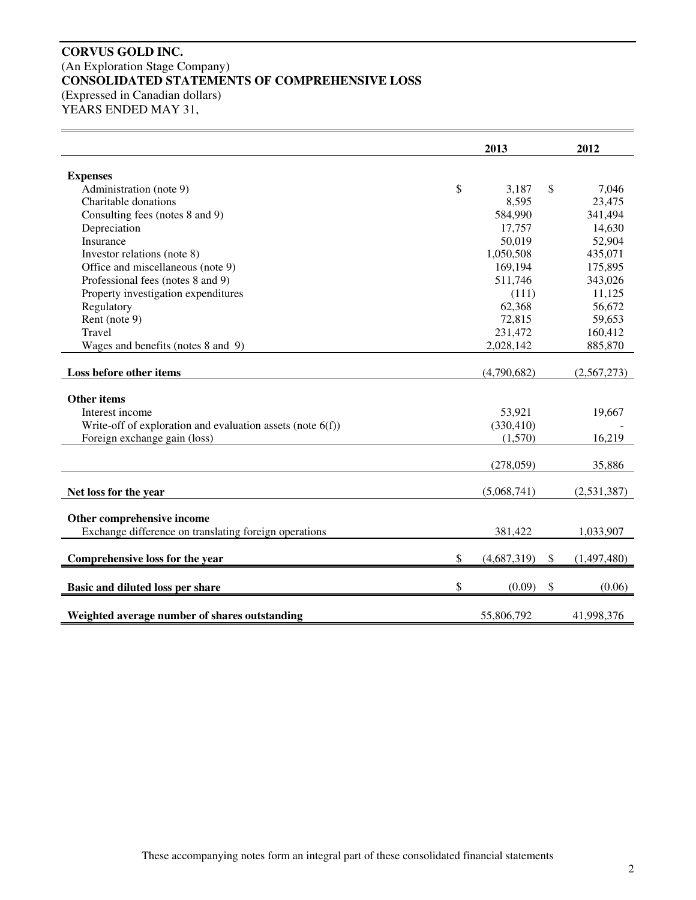# **CORVUS GOLD INC.**  (An Exploration Stage Company) **CONSOLIDATED STATEMENTS OF COMPREHENSIVE LOSS**  (Expressed in Canadian dollars) YEARS ENDED MAY 31,

|                                                               | 2013              | 2012              |
|---------------------------------------------------------------|-------------------|-------------------|
| <b>Expenses</b>                                               |                   |                   |
| Administration (note 9)                                       | \$<br>3,187       | \$<br>7,046       |
| Charitable donations                                          | 8,595             | 23,475            |
| Consulting fees (notes 8 and 9)                               | 584,990           | 341,494           |
| Depreciation                                                  | 17,757            | 14,630            |
| Insurance                                                     | 50,019            | 52,904            |
| Investor relations (note 8)                                   | 1,050,508         | 435,071           |
| Office and miscellaneous (note 9)                             | 169,194           | 175,895           |
| Professional fees (notes 8 and 9)                             | 511,746           | 343,026           |
| Property investigation expenditures                           | (111)             | 11,125            |
| Regulatory                                                    | 62,368            | 56,672            |
| Rent (note 9)                                                 | 72,815            | 59,653            |
| Travel                                                        | 231,472           | 160,412           |
| Wages and benefits (notes 8 and 9)                            | 2,028,142         | 885,870           |
| Loss before other items                                       | (4,790,682)       | (2,567,273)       |
| <b>Other items</b>                                            |                   |                   |
| Interest income                                               | 53,921            | 19,667            |
| Write-off of exploration and evaluation assets (note $6(f)$ ) | (330, 410)        |                   |
| Foreign exchange gain (loss)                                  | (1,570)           | 16,219            |
|                                                               | (278,059)         | 35,886            |
| Net loss for the year                                         | (5,068,741)       | (2, 531, 387)     |
|                                                               |                   |                   |
| Other comprehensive income                                    |                   |                   |
| Exchange difference on translating foreign operations         | 381,422           | 1,033,907         |
| Comprehensive loss for the year                               | \$<br>(4,687,319) | \$<br>(1,497,480) |
| Basic and diluted loss per share                              | \$<br>(0.09)      | \$<br>(0.06)      |
| Weighted average number of shares outstanding                 | 55,806,792        | 41,998,376        |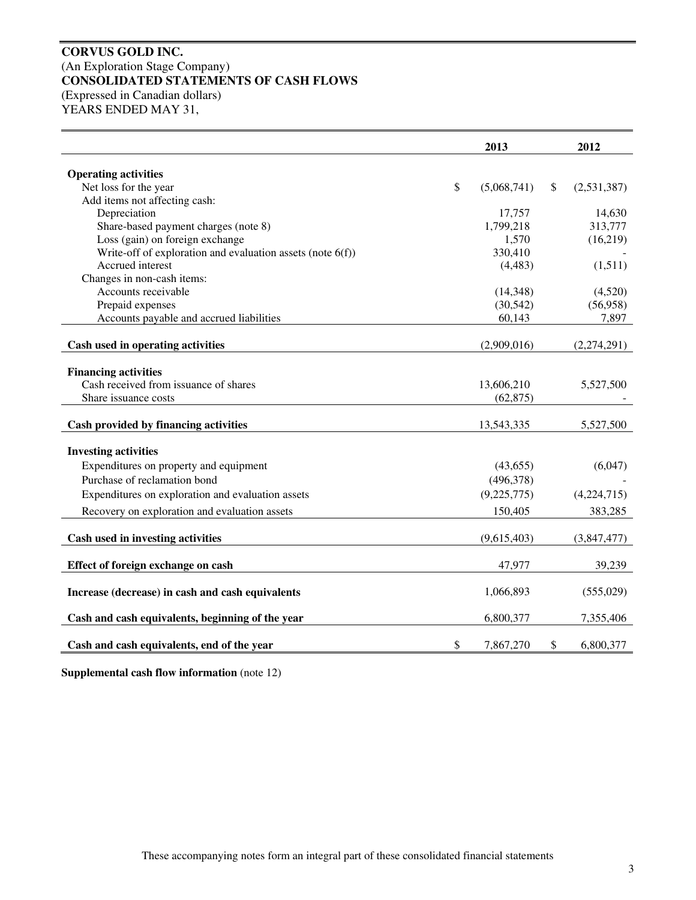# **CORVUS GOLD INC.**  (An Exploration Stage Company) **CONSOLIDATED STATEMENTS OF CASH FLOWS**  (Expressed in Canadian dollars) YEARS ENDED MAY 31,

|                                                               |              | 2013        | 2012              |
|---------------------------------------------------------------|--------------|-------------|-------------------|
| <b>Operating activities</b>                                   |              |             |                   |
| Net loss for the year                                         | $\mathbb{S}$ | (5,068,741) | \$<br>(2,531,387) |
| Add items not affecting cash:                                 |              |             |                   |
| Depreciation                                                  |              | 17,757      | 14,630            |
| Share-based payment charges (note 8)                          |              | 1,799,218   | 313,777           |
| Loss (gain) on foreign exchange                               |              | 1,570       | (16,219)          |
| Write-off of exploration and evaluation assets (note $6(f)$ ) |              | 330,410     |                   |
| Accrued interest                                              |              | (4, 483)    | (1,511)           |
| Changes in non-cash items:                                    |              |             |                   |
| Accounts receivable                                           |              | (14,348)    | (4,520)           |
| Prepaid expenses                                              |              | (30, 542)   | (56,958)          |
| Accounts payable and accrued liabilities                      |              | 60,143      | 7,897             |
|                                                               |              |             |                   |
| Cash used in operating activities                             |              | (2,909,016) | (2,274,291)       |
|                                                               |              |             |                   |
| <b>Financing activities</b>                                   |              |             |                   |
| Cash received from issuance of shares                         |              | 13,606,210  | 5,527,500         |
| Share issuance costs                                          |              | (62, 875)   |                   |
|                                                               |              |             |                   |
| Cash provided by financing activities                         |              | 13,543,335  | 5,527,500         |
| <b>Investing activities</b>                                   |              |             |                   |
| Expenditures on property and equipment                        |              | (43, 655)   | (6,047)           |
| Purchase of reclamation bond                                  |              | (496,378)   |                   |
| Expenditures on exploration and evaluation assets             |              | (9,225,775) | (4,224,715)       |
|                                                               |              |             |                   |
| Recovery on exploration and evaluation assets                 |              | 150,405     | 383,285           |
| Cash used in investing activities                             |              | (9,615,403) | (3,847,477)       |
|                                                               |              |             |                   |
| Effect of foreign exchange on cash                            |              | 47,977      | 39,239            |
| Increase (decrease) in cash and cash equivalents              |              | 1,066,893   | (555,029)         |
| Cash and cash equivalents, beginning of the year              |              | 6,800,377   | 7,355,406         |
|                                                               |              |             |                   |
| Cash and cash equivalents, end of the year                    | \$           | 7,867,270   | \$<br>6,800,377   |

**Supplemental cash flow information** (note 12)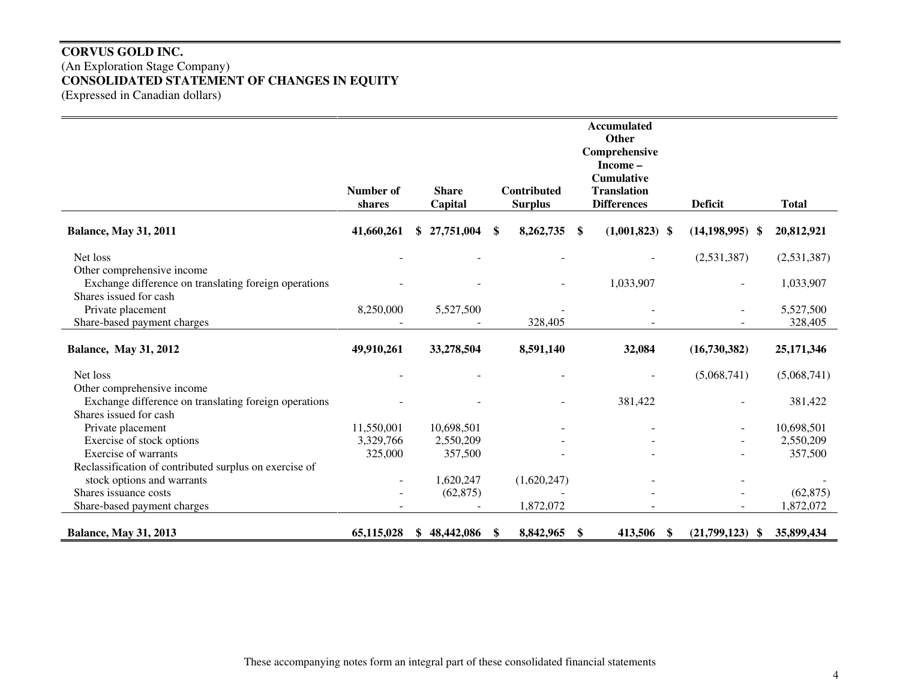# **CORVUS GOLD INC.**  (An Exploration Stage Company) **CONSOLIDATED STATEMENT OF CHANGES IN EQUITY**  (Expressed in Canadian dollars)

|                                                                                                               |                     |                         |    |                                      |                           | <b>Accumulated</b><br>Other<br>Comprehensive<br>Income-<br><b>Cumulative</b> |                      |              |
|---------------------------------------------------------------------------------------------------------------|---------------------|-------------------------|----|--------------------------------------|---------------------------|------------------------------------------------------------------------------|----------------------|--------------|
|                                                                                                               | Number of<br>shares | <b>Share</b><br>Capital |    | <b>Contributed</b><br><b>Surplus</b> |                           | <b>Translation</b><br><b>Differences</b>                                     | <b>Deficit</b>       | <b>Total</b> |
| <b>Balance, May 31, 2011</b>                                                                                  | 41,660,261          | \$27,751,004            | \$ | 8,262,735                            | $\boldsymbol{\$}$         | $(1,001,823)$ \$                                                             | $(14, 198, 995)$ \$  | 20,812,921   |
| Net loss                                                                                                      |                     |                         |    |                                      |                           |                                                                              | (2,531,387)          | (2,531,387)  |
| Other comprehensive income<br>Exchange difference on translating foreign operations<br>Shares issued for cash |                     |                         |    | -                                    |                           | 1,033,907                                                                    | $\blacksquare$       | 1,033,907    |
| Private placement                                                                                             | 8,250,000           | 5,527,500               |    |                                      |                           |                                                                              |                      | 5,527,500    |
| Share-based payment charges                                                                                   |                     |                         |    | 328,405                              |                           |                                                                              |                      | 328,405      |
| <b>Balance, May 31, 2012</b>                                                                                  | 49,910,261          | 33,278,504              |    | 8,591,140                            |                           | 32,084                                                                       | (16,730,382)         | 25,171,346   |
| Net loss                                                                                                      |                     |                         |    |                                      |                           |                                                                              | (5,068,741)          | (5,068,741)  |
| Other comprehensive income                                                                                    |                     |                         |    |                                      |                           |                                                                              |                      |              |
| Exchange difference on translating foreign operations                                                         |                     |                         |    |                                      |                           | 381,422                                                                      |                      | 381,422      |
| Shares issued for cash                                                                                        |                     |                         |    |                                      |                           |                                                                              |                      |              |
| Private placement                                                                                             | 11,550,001          | 10,698,501              |    | $\overline{\phantom{a}}$             |                           | $\sim$                                                                       |                      | 10,698,501   |
| Exercise of stock options<br><b>Exercise of warrants</b>                                                      | 3,329,766           | 2,550,209               |    |                                      |                           |                                                                              |                      | 2,550,209    |
| Reclassification of contributed surplus on exercise of                                                        | 325,000             | 357,500                 |    |                                      |                           |                                                                              |                      | 357,500      |
| stock options and warrants                                                                                    |                     | 1,620,247               |    | (1,620,247)                          |                           |                                                                              |                      |              |
| Shares issuance costs                                                                                         |                     |                         |    |                                      |                           |                                                                              |                      | (62, 875)    |
| Share-based payment charges                                                                                   |                     | (62, 875)               |    | 1,872,072                            |                           |                                                                              |                      | 1,872,072    |
|                                                                                                               |                     |                         |    |                                      |                           |                                                                              |                      |              |
| <b>Balance, May 31, 2013</b>                                                                                  | 65,115,028          | \$48,442,086            | S  | 8,842,965                            | $\boldsymbol{\mathsf{s}}$ | 413,506<br>-S                                                                | (21,799,123)<br>- \$ | 35,899,434   |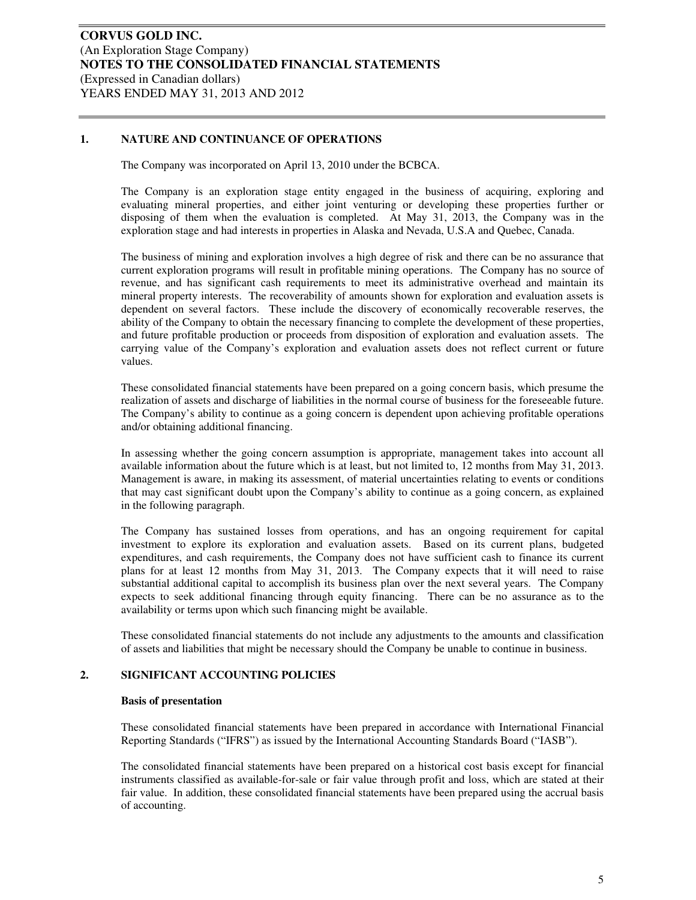### **1. NATURE AND CONTINUANCE OF OPERATIONS**

The Company was incorporated on April 13, 2010 under the BCBCA.

The Company is an exploration stage entity engaged in the business of acquiring, exploring and evaluating mineral properties, and either joint venturing or developing these properties further or disposing of them when the evaluation is completed. At May 31, 2013, the Company was in the exploration stage and had interests in properties in Alaska and Nevada, U.S.A and Quebec, Canada.

The business of mining and exploration involves a high degree of risk and there can be no assurance that current exploration programs will result in profitable mining operations. The Company has no source of revenue, and has significant cash requirements to meet its administrative overhead and maintain its mineral property interests. The recoverability of amounts shown for exploration and evaluation assets is dependent on several factors. These include the discovery of economically recoverable reserves, the ability of the Company to obtain the necessary financing to complete the development of these properties, and future profitable production or proceeds from disposition of exploration and evaluation assets. The carrying value of the Company's exploration and evaluation assets does not reflect current or future values.

These consolidated financial statements have been prepared on a going concern basis, which presume the realization of assets and discharge of liabilities in the normal course of business for the foreseeable future. The Company's ability to continue as a going concern is dependent upon achieving profitable operations and/or obtaining additional financing.

In assessing whether the going concern assumption is appropriate, management takes into account all available information about the future which is at least, but not limited to, 12 months from May 31, 2013. Management is aware, in making its assessment, of material uncertainties relating to events or conditions that may cast significant doubt upon the Company's ability to continue as a going concern, as explained in the following paragraph.

The Company has sustained losses from operations, and has an ongoing requirement for capital investment to explore its exploration and evaluation assets. Based on its current plans, budgeted expenditures, and cash requirements, the Company does not have sufficient cash to finance its current plans for at least 12 months from May 31, 2013. The Company expects that it will need to raise substantial additional capital to accomplish its business plan over the next several years. The Company expects to seek additional financing through equity financing. There can be no assurance as to the availability or terms upon which such financing might be available.

These consolidated financial statements do not include any adjustments to the amounts and classification of assets and liabilities that might be necessary should the Company be unable to continue in business.

### **2. SIGNIFICANT ACCOUNTING POLICIES**

#### **Basis of presentation**

These consolidated financial statements have been prepared in accordance with International Financial Reporting Standards ("IFRS") as issued by the International Accounting Standards Board ("IASB").

The consolidated financial statements have been prepared on a historical cost basis except for financial instruments classified as available-for-sale or fair value through profit and loss, which are stated at their fair value. In addition, these consolidated financial statements have been prepared using the accrual basis of accounting.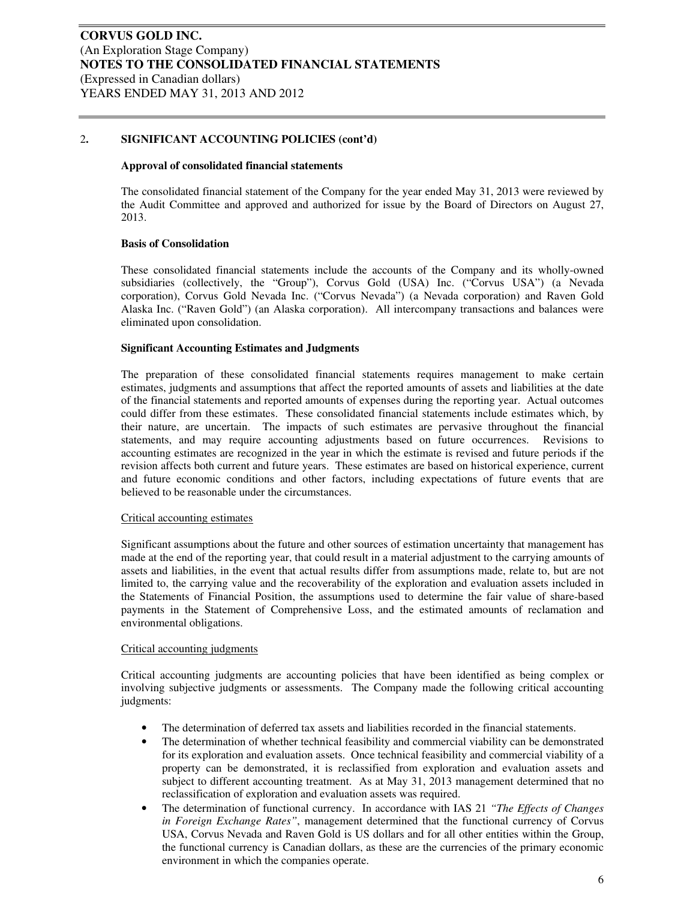#### **Approval of consolidated financial statements**

The consolidated financial statement of the Company for the year ended May 31, 2013 were reviewed by the Audit Committee and approved and authorized for issue by the Board of Directors on August 27, 2013.

#### **Basis of Consolidation**

These consolidated financial statements include the accounts of the Company and its wholly-owned subsidiaries (collectively, the "Group"), Corvus Gold (USA) Inc. ("Corvus USA") (a Nevada corporation), Corvus Gold Nevada Inc. ("Corvus Nevada") (a Nevada corporation) and Raven Gold Alaska Inc. ("Raven Gold") (an Alaska corporation). All intercompany transactions and balances were eliminated upon consolidation.

#### **Significant Accounting Estimates and Judgments**

The preparation of these consolidated financial statements requires management to make certain estimates, judgments and assumptions that affect the reported amounts of assets and liabilities at the date of the financial statements and reported amounts of expenses during the reporting year. Actual outcomes could differ from these estimates. These consolidated financial statements include estimates which, by their nature, are uncertain. The impacts of such estimates are pervasive throughout the financial statements, and may require accounting adjustments based on future occurrences. Revisions to accounting estimates are recognized in the year in which the estimate is revised and future periods if the revision affects both current and future years. These estimates are based on historical experience, current and future economic conditions and other factors, including expectations of future events that are believed to be reasonable under the circumstances.

#### Critical accounting estimates

Significant assumptions about the future and other sources of estimation uncertainty that management has made at the end of the reporting year, that could result in a material adjustment to the carrying amounts of assets and liabilities, in the event that actual results differ from assumptions made, relate to, but are not limited to, the carrying value and the recoverability of the exploration and evaluation assets included in the Statements of Financial Position, the assumptions used to determine the fair value of share-based payments in the Statement of Comprehensive Loss, and the estimated amounts of reclamation and environmental obligations.

### Critical accounting judgments

Critical accounting judgments are accounting policies that have been identified as being complex or involving subjective judgments or assessments. The Company made the following critical accounting judgments:

- The determination of deferred tax assets and liabilities recorded in the financial statements.
- The determination of whether technical feasibility and commercial viability can be demonstrated for its exploration and evaluation assets. Once technical feasibility and commercial viability of a property can be demonstrated, it is reclassified from exploration and evaluation assets and subject to different accounting treatment. As at May 31, 2013 management determined that no reclassification of exploration and evaluation assets was required.
- The determination of functional currency. In accordance with IAS 21 *"The Effects of Changes in Foreign Exchange Rates"*, management determined that the functional currency of Corvus USA, Corvus Nevada and Raven Gold is US dollars and for all other entities within the Group, the functional currency is Canadian dollars, as these are the currencies of the primary economic environment in which the companies operate.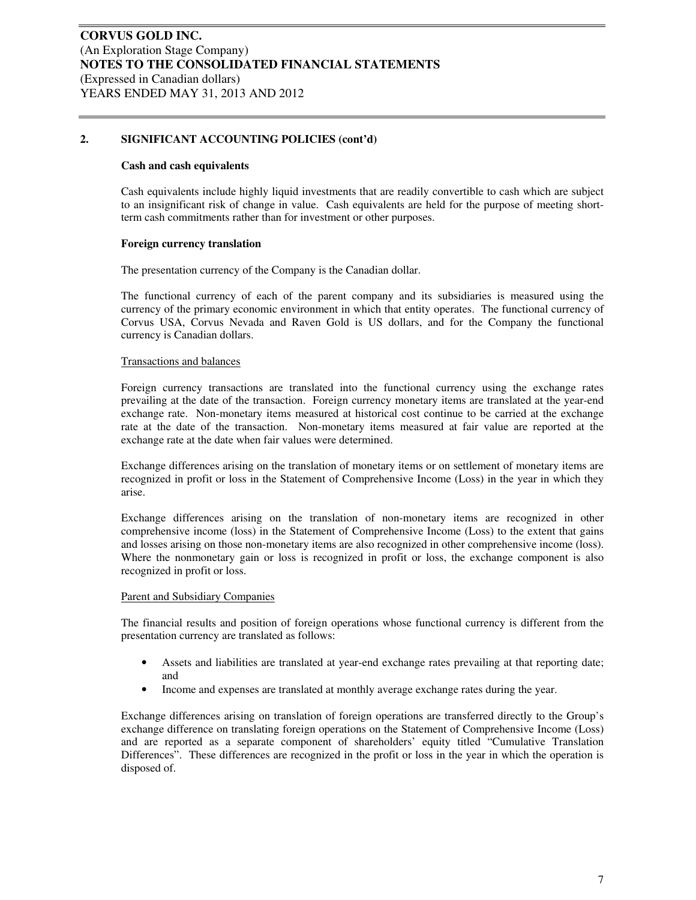### **Cash and cash equivalents**

Cash equivalents include highly liquid investments that are readily convertible to cash which are subject to an insignificant risk of change in value. Cash equivalents are held for the purpose of meeting shortterm cash commitments rather than for investment or other purposes.

### **Foreign currency translation**

The presentation currency of the Company is the Canadian dollar.

The functional currency of each of the parent company and its subsidiaries is measured using the currency of the primary economic environment in which that entity operates. The functional currency of Corvus USA, Corvus Nevada and Raven Gold is US dollars, and for the Company the functional currency is Canadian dollars.

### Transactions and balances

Foreign currency transactions are translated into the functional currency using the exchange rates prevailing at the date of the transaction. Foreign currency monetary items are translated at the year-end exchange rate. Non-monetary items measured at historical cost continue to be carried at the exchange rate at the date of the transaction. Non-monetary items measured at fair value are reported at the exchange rate at the date when fair values were determined.

Exchange differences arising on the translation of monetary items or on settlement of monetary items are recognized in profit or loss in the Statement of Comprehensive Income (Loss) in the year in which they arise.

Exchange differences arising on the translation of non-monetary items are recognized in other comprehensive income (loss) in the Statement of Comprehensive Income (Loss) to the extent that gains and losses arising on those non-monetary items are also recognized in other comprehensive income (loss). Where the nonmonetary gain or loss is recognized in profit or loss, the exchange component is also recognized in profit or loss.

#### Parent and Subsidiary Companies

The financial results and position of foreign operations whose functional currency is different from the presentation currency are translated as follows:

- Assets and liabilities are translated at year-end exchange rates prevailing at that reporting date; and
- Income and expenses are translated at monthly average exchange rates during the year.

Exchange differences arising on translation of foreign operations are transferred directly to the Group's exchange difference on translating foreign operations on the Statement of Comprehensive Income (Loss) and are reported as a separate component of shareholders' equity titled "Cumulative Translation Differences". These differences are recognized in the profit or loss in the year in which the operation is disposed of.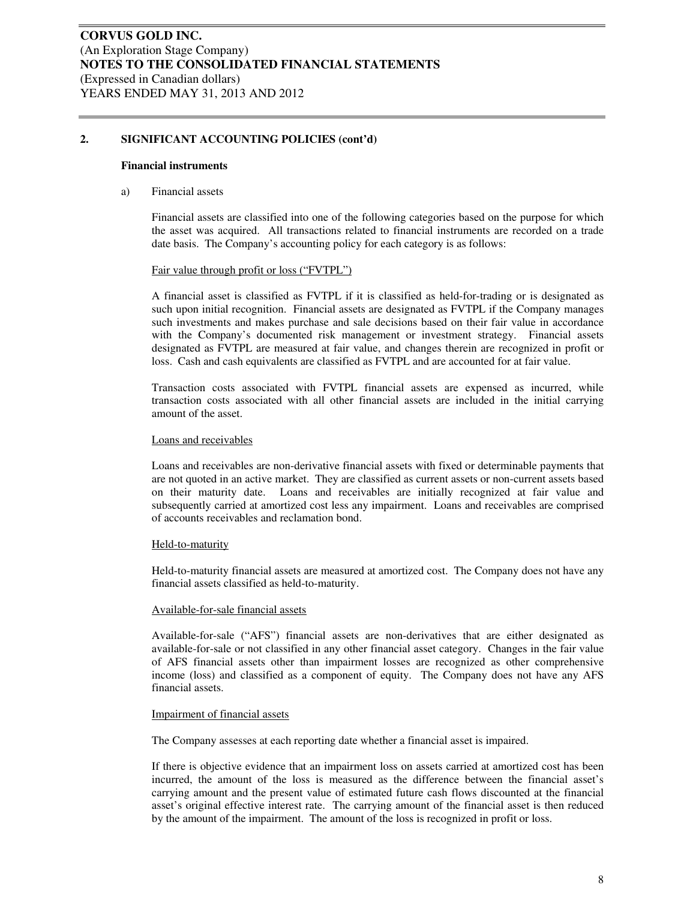#### **Financial instruments**

### a) Financial assets

Financial assets are classified into one of the following categories based on the purpose for which the asset was acquired. All transactions related to financial instruments are recorded on a trade date basis. The Company's accounting policy for each category is as follows:

#### Fair value through profit or loss ("FVTPL")

A financial asset is classified as FVTPL if it is classified as held-for-trading or is designated as such upon initial recognition. Financial assets are designated as FVTPL if the Company manages such investments and makes purchase and sale decisions based on their fair value in accordance with the Company's documented risk management or investment strategy. Financial assets designated as FVTPL are measured at fair value, and changes therein are recognized in profit or loss. Cash and cash equivalents are classified as FVTPL and are accounted for at fair value.

Transaction costs associated with FVTPL financial assets are expensed as incurred, while transaction costs associated with all other financial assets are included in the initial carrying amount of the asset.

### Loans and receivables

Loans and receivables are non-derivative financial assets with fixed or determinable payments that are not quoted in an active market. They are classified as current assets or non-current assets based on their maturity date. Loans and receivables are initially recognized at fair value and subsequently carried at amortized cost less any impairment. Loans and receivables are comprised of accounts receivables and reclamation bond.

#### Held-to-maturity

Held-to-maturity financial assets are measured at amortized cost. The Company does not have any financial assets classified as held-to-maturity.

#### Available-for-sale financial assets

Available-for-sale ("AFS") financial assets are non-derivatives that are either designated as available-for-sale or not classified in any other financial asset category. Changes in the fair value of AFS financial assets other than impairment losses are recognized as other comprehensive income (loss) and classified as a component of equity. The Company does not have any AFS financial assets.

#### Impairment of financial assets

The Company assesses at each reporting date whether a financial asset is impaired.

If there is objective evidence that an impairment loss on assets carried at amortized cost has been incurred, the amount of the loss is measured as the difference between the financial asset's carrying amount and the present value of estimated future cash flows discounted at the financial asset's original effective interest rate. The carrying amount of the financial asset is then reduced by the amount of the impairment. The amount of the loss is recognized in profit or loss.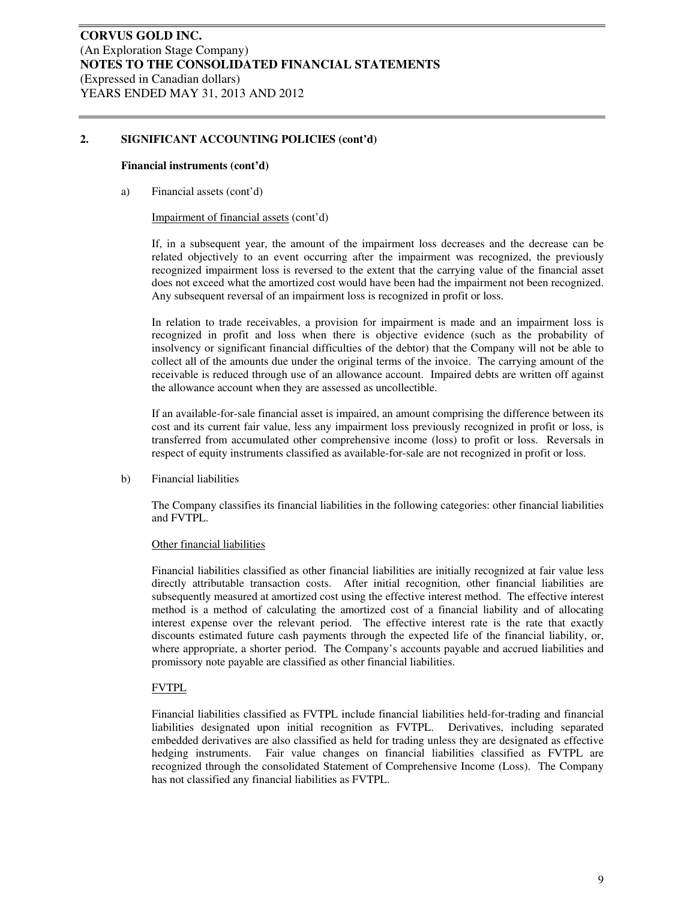#### **Financial instruments (cont'd)**

a) Financial assets (cont'd)

#### Impairment of financial assets (cont'd)

If, in a subsequent year, the amount of the impairment loss decreases and the decrease can be related objectively to an event occurring after the impairment was recognized, the previously recognized impairment loss is reversed to the extent that the carrying value of the financial asset does not exceed what the amortized cost would have been had the impairment not been recognized. Any subsequent reversal of an impairment loss is recognized in profit or loss.

In relation to trade receivables, a provision for impairment is made and an impairment loss is recognized in profit and loss when there is objective evidence (such as the probability of insolvency or significant financial difficulties of the debtor) that the Company will not be able to collect all of the amounts due under the original terms of the invoice. The carrying amount of the receivable is reduced through use of an allowance account. Impaired debts are written off against the allowance account when they are assessed as uncollectible.

If an available-for-sale financial asset is impaired, an amount comprising the difference between its cost and its current fair value, less any impairment loss previously recognized in profit or loss, is transferred from accumulated other comprehensive income (loss) to profit or loss. Reversals in respect of equity instruments classified as available-for-sale are not recognized in profit or loss.

b) Financial liabilities

The Company classifies its financial liabilities in the following categories: other financial liabilities and FVTPL.

### Other financial liabilities

Financial liabilities classified as other financial liabilities are initially recognized at fair value less directly attributable transaction costs. After initial recognition, other financial liabilities are subsequently measured at amortized cost using the effective interest method. The effective interest method is a method of calculating the amortized cost of a financial liability and of allocating interest expense over the relevant period. The effective interest rate is the rate that exactly discounts estimated future cash payments through the expected life of the financial liability, or, where appropriate, a shorter period. The Company's accounts payable and accrued liabilities and promissory note payable are classified as other financial liabilities.

#### FVTPL

Financial liabilities classified as FVTPL include financial liabilities held-for-trading and financial liabilities designated upon initial recognition as FVTPL. Derivatives, including separated embedded derivatives are also classified as held for trading unless they are designated as effective hedging instruments. Fair value changes on financial liabilities classified as FVTPL are recognized through the consolidated Statement of Comprehensive Income (Loss). The Company has not classified any financial liabilities as FVTPL.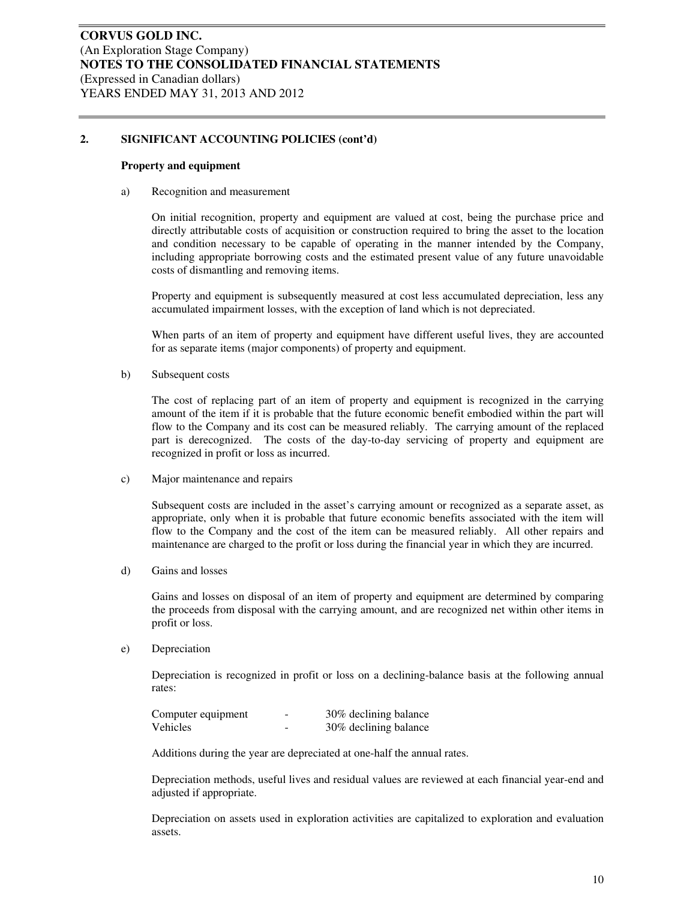#### **Property and equipment**

a) Recognition and measurement

On initial recognition, property and equipment are valued at cost, being the purchase price and directly attributable costs of acquisition or construction required to bring the asset to the location and condition necessary to be capable of operating in the manner intended by the Company, including appropriate borrowing costs and the estimated present value of any future unavoidable costs of dismantling and removing items.

Property and equipment is subsequently measured at cost less accumulated depreciation, less any accumulated impairment losses, with the exception of land which is not depreciated.

When parts of an item of property and equipment have different useful lives, they are accounted for as separate items (major components) of property and equipment.

b) Subsequent costs

The cost of replacing part of an item of property and equipment is recognized in the carrying amount of the item if it is probable that the future economic benefit embodied within the part will flow to the Company and its cost can be measured reliably. The carrying amount of the replaced part is derecognized. The costs of the day-to-day servicing of property and equipment are recognized in profit or loss as incurred.

c) Major maintenance and repairs

Subsequent costs are included in the asset's carrying amount or recognized as a separate asset, as appropriate, only when it is probable that future economic benefits associated with the item will flow to the Company and the cost of the item can be measured reliably. All other repairs and maintenance are charged to the profit or loss during the financial year in which they are incurred.

d) Gains and losses

Gains and losses on disposal of an item of property and equipment are determined by comparing the proceeds from disposal with the carrying amount, and are recognized net within other items in profit or loss.

e) Depreciation

Depreciation is recognized in profit or loss on a declining-balance basis at the following annual rates:

| Computer equipment | - | 30% declining balance |
|--------------------|---|-----------------------|
| <b>Vehicles</b>    | - | 30% declining balance |

Additions during the year are depreciated at one-half the annual rates.

Depreciation methods, useful lives and residual values are reviewed at each financial year-end and adjusted if appropriate.

Depreciation on assets used in exploration activities are capitalized to exploration and evaluation assets.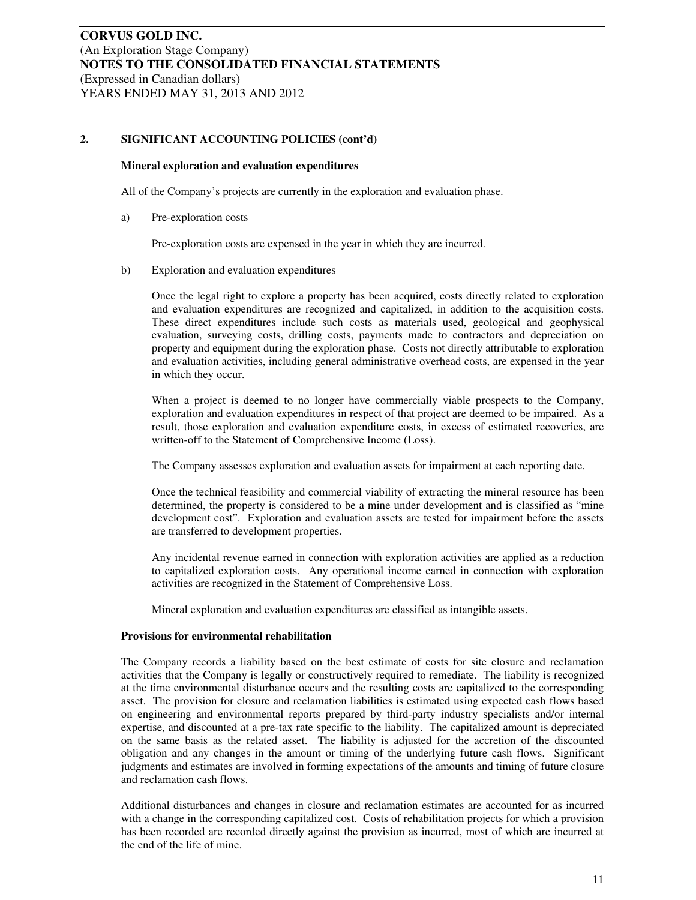### **Mineral exploration and evaluation expenditures**

All of the Company's projects are currently in the exploration and evaluation phase.

a) Pre-exploration costs

Pre-exploration costs are expensed in the year in which they are incurred.

b) Exploration and evaluation expenditures

Once the legal right to explore a property has been acquired, costs directly related to exploration and evaluation expenditures are recognized and capitalized, in addition to the acquisition costs. These direct expenditures include such costs as materials used, geological and geophysical evaluation, surveying costs, drilling costs, payments made to contractors and depreciation on property and equipment during the exploration phase. Costs not directly attributable to exploration and evaluation activities, including general administrative overhead costs, are expensed in the year in which they occur.

When a project is deemed to no longer have commercially viable prospects to the Company, exploration and evaluation expenditures in respect of that project are deemed to be impaired. As a result, those exploration and evaluation expenditure costs, in excess of estimated recoveries, are written-off to the Statement of Comprehensive Income (Loss).

The Company assesses exploration and evaluation assets for impairment at each reporting date.

Once the technical feasibility and commercial viability of extracting the mineral resource has been determined, the property is considered to be a mine under development and is classified as "mine development cost". Exploration and evaluation assets are tested for impairment before the assets are transferred to development properties.

Any incidental revenue earned in connection with exploration activities are applied as a reduction to capitalized exploration costs. Any operational income earned in connection with exploration activities are recognized in the Statement of Comprehensive Loss.

Mineral exploration and evaluation expenditures are classified as intangible assets.

### **Provisions for environmental rehabilitation**

The Company records a liability based on the best estimate of costs for site closure and reclamation activities that the Company is legally or constructively required to remediate. The liability is recognized at the time environmental disturbance occurs and the resulting costs are capitalized to the corresponding asset. The provision for closure and reclamation liabilities is estimated using expected cash flows based on engineering and environmental reports prepared by third-party industry specialists and/or internal expertise, and discounted at a pre-tax rate specific to the liability. The capitalized amount is depreciated on the same basis as the related asset. The liability is adjusted for the accretion of the discounted obligation and any changes in the amount or timing of the underlying future cash flows. Significant judgments and estimates are involved in forming expectations of the amounts and timing of future closure and reclamation cash flows.

Additional disturbances and changes in closure and reclamation estimates are accounted for as incurred with a change in the corresponding capitalized cost. Costs of rehabilitation projects for which a provision has been recorded are recorded directly against the provision as incurred, most of which are incurred at the end of the life of mine.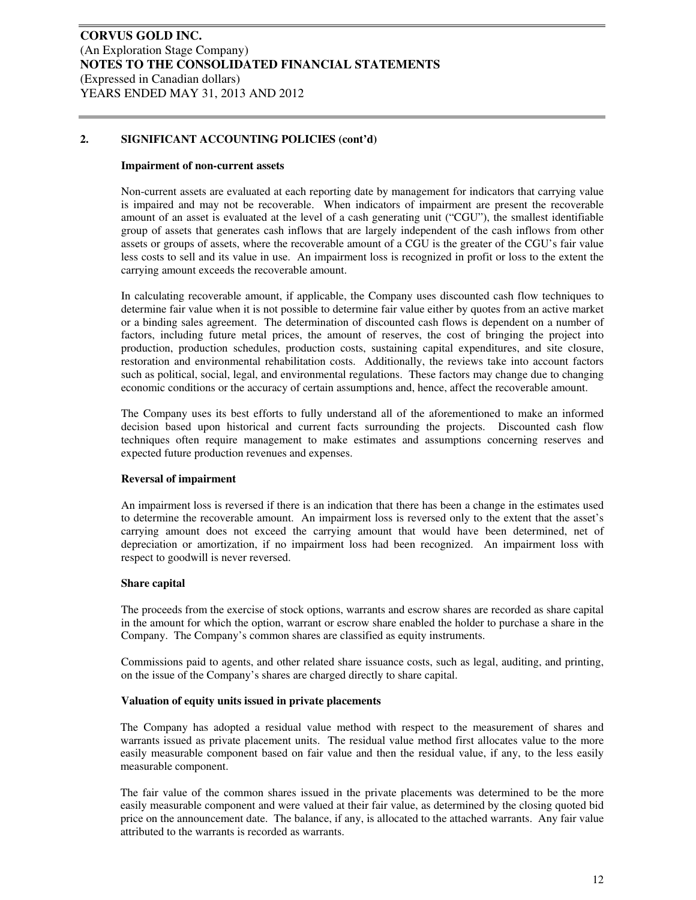### **Impairment of non-current assets**

Non-current assets are evaluated at each reporting date by management for indicators that carrying value is impaired and may not be recoverable. When indicators of impairment are present the recoverable amount of an asset is evaluated at the level of a cash generating unit ("CGU"), the smallest identifiable group of assets that generates cash inflows that are largely independent of the cash inflows from other assets or groups of assets, where the recoverable amount of a CGU is the greater of the CGU's fair value less costs to sell and its value in use. An impairment loss is recognized in profit or loss to the extent the carrying amount exceeds the recoverable amount.

In calculating recoverable amount, if applicable, the Company uses discounted cash flow techniques to determine fair value when it is not possible to determine fair value either by quotes from an active market or a binding sales agreement. The determination of discounted cash flows is dependent on a number of factors, including future metal prices, the amount of reserves, the cost of bringing the project into production, production schedules, production costs, sustaining capital expenditures, and site closure, restoration and environmental rehabilitation costs. Additionally, the reviews take into account factors such as political, social, legal, and environmental regulations. These factors may change due to changing economic conditions or the accuracy of certain assumptions and, hence, affect the recoverable amount.

The Company uses its best efforts to fully understand all of the aforementioned to make an informed decision based upon historical and current facts surrounding the projects. Discounted cash flow techniques often require management to make estimates and assumptions concerning reserves and expected future production revenues and expenses.

#### **Reversal of impairment**

An impairment loss is reversed if there is an indication that there has been a change in the estimates used to determine the recoverable amount. An impairment loss is reversed only to the extent that the asset's carrying amount does not exceed the carrying amount that would have been determined, net of depreciation or amortization, if no impairment loss had been recognized. An impairment loss with respect to goodwill is never reversed.

#### **Share capital**

The proceeds from the exercise of stock options, warrants and escrow shares are recorded as share capital in the amount for which the option, warrant or escrow share enabled the holder to purchase a share in the Company. The Company's common shares are classified as equity instruments.

Commissions paid to agents, and other related share issuance costs, such as legal, auditing, and printing, on the issue of the Company's shares are charged directly to share capital.

#### **Valuation of equity units issued in private placements**

The Company has adopted a residual value method with respect to the measurement of shares and warrants issued as private placement units. The residual value method first allocates value to the more easily measurable component based on fair value and then the residual value, if any, to the less easily measurable component.

The fair value of the common shares issued in the private placements was determined to be the more easily measurable component and were valued at their fair value, as determined by the closing quoted bid price on the announcement date. The balance, if any, is allocated to the attached warrants. Any fair value attributed to the warrants is recorded as warrants.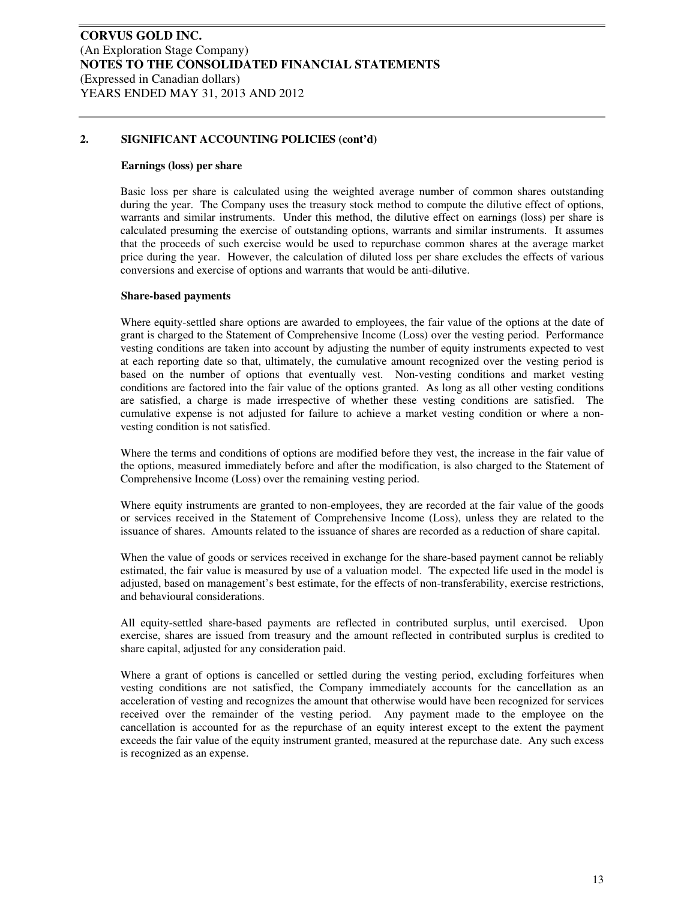#### **Earnings (loss) per share**

Basic loss per share is calculated using the weighted average number of common shares outstanding during the year. The Company uses the treasury stock method to compute the dilutive effect of options, warrants and similar instruments. Under this method, the dilutive effect on earnings (loss) per share is calculated presuming the exercise of outstanding options, warrants and similar instruments. It assumes that the proceeds of such exercise would be used to repurchase common shares at the average market price during the year. However, the calculation of diluted loss per share excludes the effects of various conversions and exercise of options and warrants that would be anti-dilutive.

#### **Share-based payments**

Where equity-settled share options are awarded to employees, the fair value of the options at the date of grant is charged to the Statement of Comprehensive Income (Loss) over the vesting period. Performance vesting conditions are taken into account by adjusting the number of equity instruments expected to vest at each reporting date so that, ultimately, the cumulative amount recognized over the vesting period is based on the number of options that eventually vest. Non-vesting conditions and market vesting conditions are factored into the fair value of the options granted. As long as all other vesting conditions are satisfied, a charge is made irrespective of whether these vesting conditions are satisfied. The cumulative expense is not adjusted for failure to achieve a market vesting condition or where a nonvesting condition is not satisfied.

Where the terms and conditions of options are modified before they vest, the increase in the fair value of the options, measured immediately before and after the modification, is also charged to the Statement of Comprehensive Income (Loss) over the remaining vesting period.

Where equity instruments are granted to non-employees, they are recorded at the fair value of the goods or services received in the Statement of Comprehensive Income (Loss), unless they are related to the issuance of shares. Amounts related to the issuance of shares are recorded as a reduction of share capital.

When the value of goods or services received in exchange for the share-based payment cannot be reliably estimated, the fair value is measured by use of a valuation model. The expected life used in the model is adjusted, based on management's best estimate, for the effects of non-transferability, exercise restrictions, and behavioural considerations.

All equity-settled share-based payments are reflected in contributed surplus, until exercised. Upon exercise, shares are issued from treasury and the amount reflected in contributed surplus is credited to share capital, adjusted for any consideration paid.

Where a grant of options is cancelled or settled during the vesting period, excluding forfeitures when vesting conditions are not satisfied, the Company immediately accounts for the cancellation as an acceleration of vesting and recognizes the amount that otherwise would have been recognized for services received over the remainder of the vesting period. Any payment made to the employee on the cancellation is accounted for as the repurchase of an equity interest except to the extent the payment exceeds the fair value of the equity instrument granted, measured at the repurchase date. Any such excess is recognized as an expense.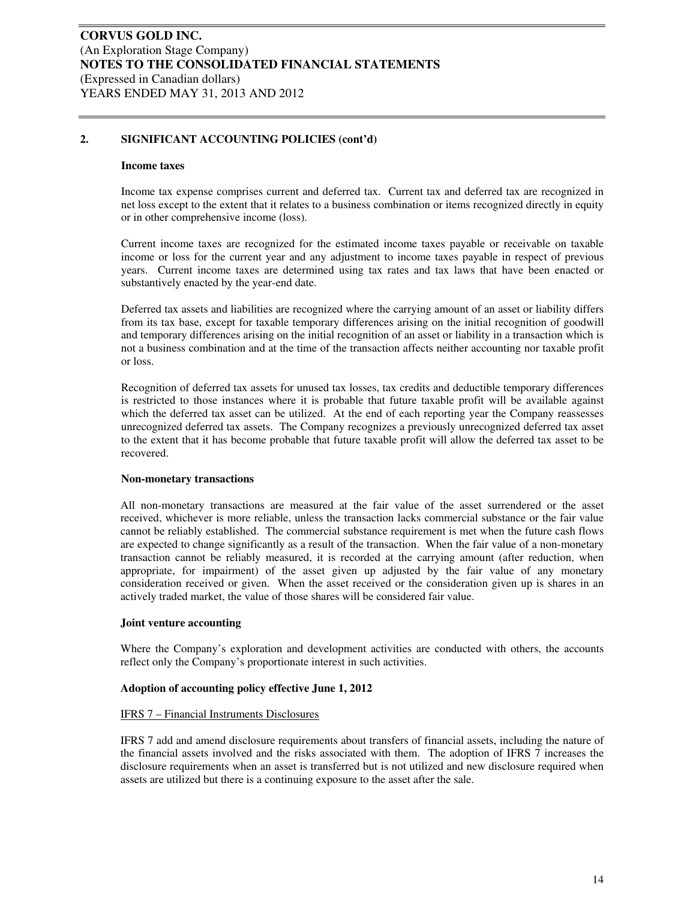#### **Income taxes**

Income tax expense comprises current and deferred tax. Current tax and deferred tax are recognized in net loss except to the extent that it relates to a business combination or items recognized directly in equity or in other comprehensive income (loss).

Current income taxes are recognized for the estimated income taxes payable or receivable on taxable income or loss for the current year and any adjustment to income taxes payable in respect of previous years. Current income taxes are determined using tax rates and tax laws that have been enacted or substantively enacted by the year-end date.

Deferred tax assets and liabilities are recognized where the carrying amount of an asset or liability differs from its tax base, except for taxable temporary differences arising on the initial recognition of goodwill and temporary differences arising on the initial recognition of an asset or liability in a transaction which is not a business combination and at the time of the transaction affects neither accounting nor taxable profit or loss.

Recognition of deferred tax assets for unused tax losses, tax credits and deductible temporary differences is restricted to those instances where it is probable that future taxable profit will be available against which the deferred tax asset can be utilized. At the end of each reporting year the Company reassesses unrecognized deferred tax assets. The Company recognizes a previously unrecognized deferred tax asset to the extent that it has become probable that future taxable profit will allow the deferred tax asset to be recovered.

#### **Non-monetary transactions**

All non-monetary transactions are measured at the fair value of the asset surrendered or the asset received, whichever is more reliable, unless the transaction lacks commercial substance or the fair value cannot be reliably established. The commercial substance requirement is met when the future cash flows are expected to change significantly as a result of the transaction. When the fair value of a non-monetary transaction cannot be reliably measured, it is recorded at the carrying amount (after reduction, when appropriate, for impairment) of the asset given up adjusted by the fair value of any monetary consideration received or given. When the asset received or the consideration given up is shares in an actively traded market, the value of those shares will be considered fair value.

#### **Joint venture accounting**

Where the Company's exploration and development activities are conducted with others, the accounts reflect only the Company's proportionate interest in such activities.

### **Adoption of accounting policy effective June 1, 2012**

#### IFRS 7 – Financial Instruments Disclosures

IFRS 7 add and amend disclosure requirements about transfers of financial assets, including the nature of the financial assets involved and the risks associated with them. The adoption of IFRS 7 increases the disclosure requirements when an asset is transferred but is not utilized and new disclosure required when assets are utilized but there is a continuing exposure to the asset after the sale.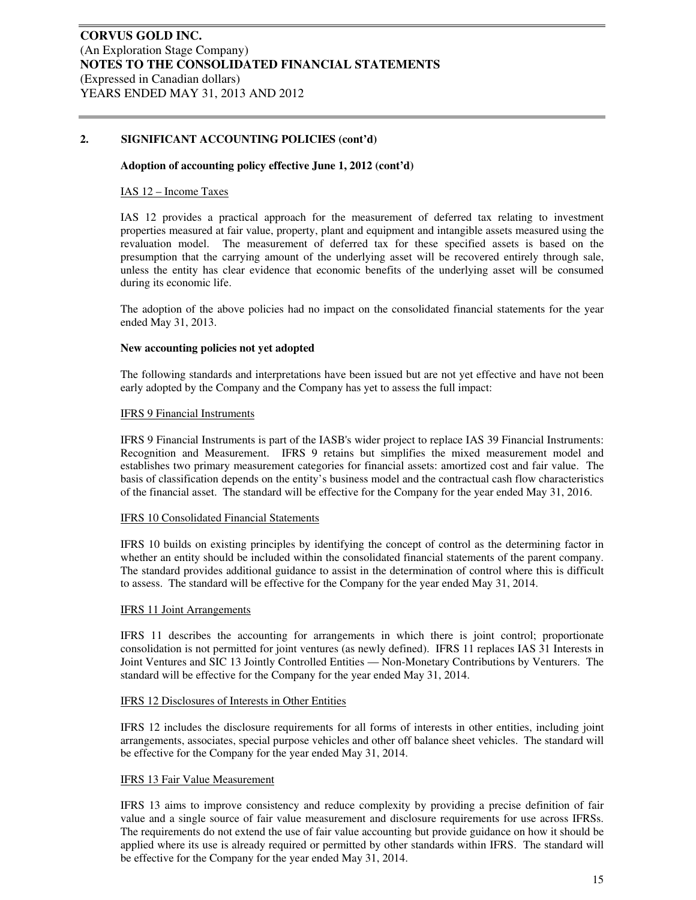### **Adoption of accounting policy effective June 1, 2012 (cont'd)**

### IAS 12 – Income Taxes

IAS 12 provides a practical approach for the measurement of deferred tax relating to investment properties measured at fair value, property, plant and equipment and intangible assets measured using the revaluation model. The measurement of deferred tax for these specified assets is based on the presumption that the carrying amount of the underlying asset will be recovered entirely through sale, unless the entity has clear evidence that economic benefits of the underlying asset will be consumed during its economic life.

The adoption of the above policies had no impact on the consolidated financial statements for the year ended May 31, 2013.

#### **New accounting policies not yet adopted**

The following standards and interpretations have been issued but are not yet effective and have not been early adopted by the Company and the Company has yet to assess the full impact:

#### IFRS 9 Financial Instruments

IFRS 9 Financial Instruments is part of the IASB's wider project to replace IAS 39 Financial Instruments: Recognition and Measurement. IFRS 9 retains but simplifies the mixed measurement model and establishes two primary measurement categories for financial assets: amortized cost and fair value. The basis of classification depends on the entity's business model and the contractual cash flow characteristics of the financial asset. The standard will be effective for the Company for the year ended May 31, 2016.

### IFRS 10 Consolidated Financial Statements

IFRS 10 builds on existing principles by identifying the concept of control as the determining factor in whether an entity should be included within the consolidated financial statements of the parent company. The standard provides additional guidance to assist in the determination of control where this is difficult to assess. The standard will be effective for the Company for the year ended May 31, 2014.

### IFRS 11 Joint Arrangements

IFRS 11 describes the accounting for arrangements in which there is joint control; proportionate consolidation is not permitted for joint ventures (as newly defined). IFRS 11 replaces IAS 31 Interests in Joint Ventures and SIC 13 Jointly Controlled Entities — Non-Monetary Contributions by Venturers. The standard will be effective for the Company for the year ended May 31, 2014.

#### IFRS 12 Disclosures of Interests in Other Entities

IFRS 12 includes the disclosure requirements for all forms of interests in other entities, including joint arrangements, associates, special purpose vehicles and other off balance sheet vehicles. The standard will be effective for the Company for the year ended May 31, 2014.

#### IFRS 13 Fair Value Measurement

IFRS 13 aims to improve consistency and reduce complexity by providing a precise definition of fair value and a single source of fair value measurement and disclosure requirements for use across IFRSs. The requirements do not extend the use of fair value accounting but provide guidance on how it should be applied where its use is already required or permitted by other standards within IFRS. The standard will be effective for the Company for the year ended May 31, 2014.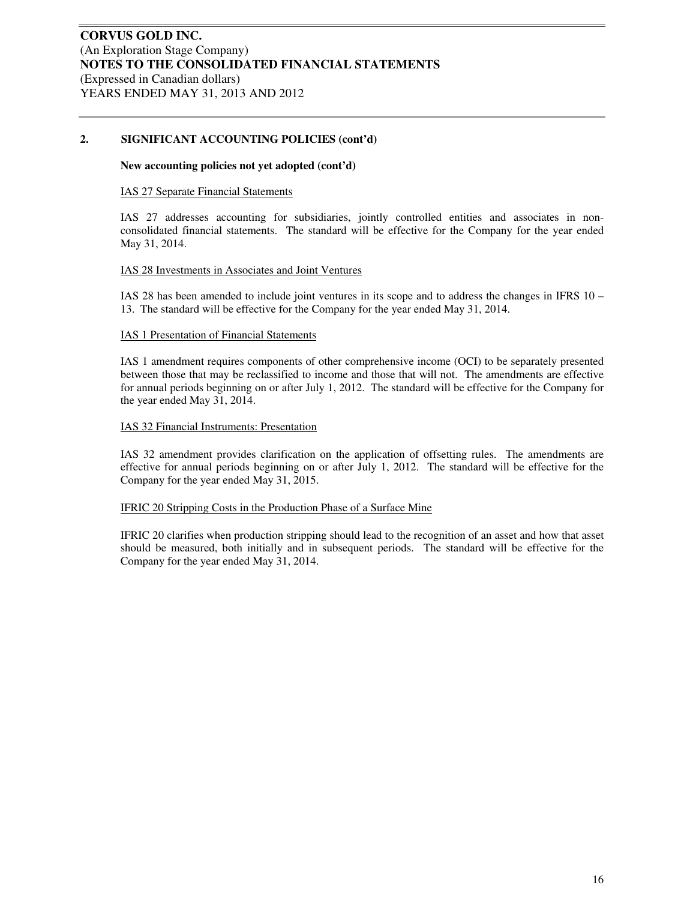### **New accounting policies not yet adopted (cont'd)**

### IAS 27 Separate Financial Statements

IAS 27 addresses accounting for subsidiaries, jointly controlled entities and associates in nonconsolidated financial statements. The standard will be effective for the Company for the year ended May 31, 2014.

### IAS 28 Investments in Associates and Joint Ventures

IAS 28 has been amended to include joint ventures in its scope and to address the changes in IFRS 10 – 13. The standard will be effective for the Company for the year ended May 31, 2014.

#### IAS 1 Presentation of Financial Statements

IAS 1 amendment requires components of other comprehensive income (OCI) to be separately presented between those that may be reclassified to income and those that will not. The amendments are effective for annual periods beginning on or after July 1, 2012. The standard will be effective for the Company for the year ended May 31, 2014.

### IAS 32 Financial Instruments: Presentation

IAS 32 amendment provides clarification on the application of offsetting rules. The amendments are effective for annual periods beginning on or after July 1, 2012. The standard will be effective for the Company for the year ended May 31, 2015.

#### IFRIC 20 Stripping Costs in the Production Phase of a Surface Mine

IFRIC 20 clarifies when production stripping should lead to the recognition of an asset and how that asset should be measured, both initially and in subsequent periods. The standard will be effective for the Company for the year ended May 31, 2014.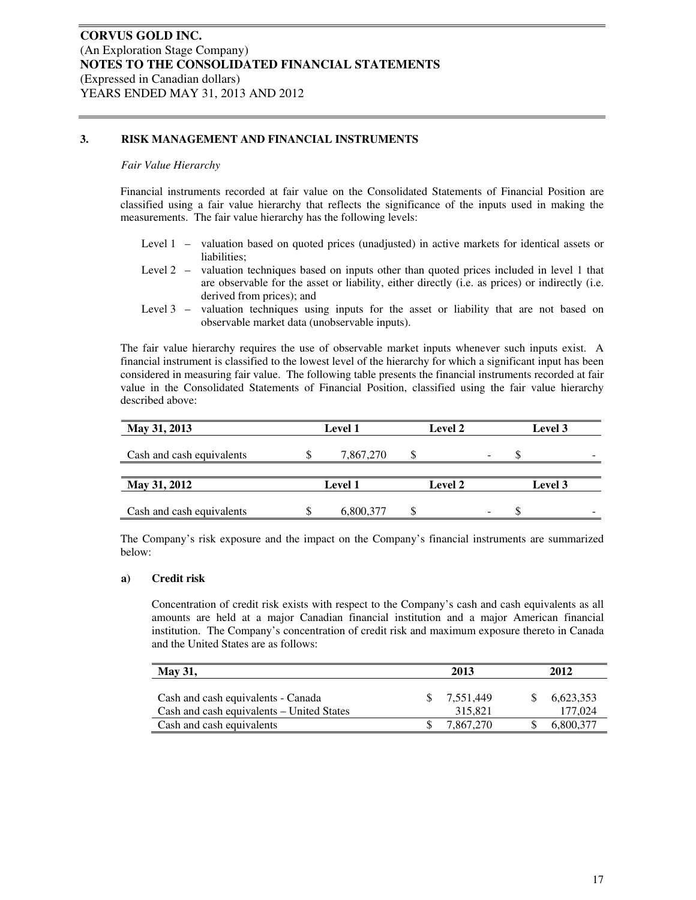### **3. RISK MANAGEMENT AND FINANCIAL INSTRUMENTS**

#### *Fair Value Hierarchy*

Financial instruments recorded at fair value on the Consolidated Statements of Financial Position are classified using a fair value hierarchy that reflects the significance of the inputs used in making the measurements. The fair value hierarchy has the following levels:

- Level 1 valuation based on quoted prices (unadjusted) in active markets for identical assets or liabilities;
- Level 2 valuation techniques based on inputs other than quoted prices included in level 1 that are observable for the asset or liability, either directly (i.e. as prices) or indirectly (i.e. derived from prices); and
- Level 3 valuation techniques using inputs for the asset or liability that are not based on observable market data (unobservable inputs).

The fair value hierarchy requires the use of observable market inputs whenever such inputs exist. A financial instrument is classified to the lowest level of the hierarchy for which a significant input has been considered in measuring fair value. The following table presents the financial instruments recorded at fair value in the Consolidated Statements of Financial Position, classified using the fair value hierarchy described above:

| May 31, 2013              | <b>Level 1</b> |           | <b>Level 2</b> | Level 3 |         |  |
|---------------------------|----------------|-----------|----------------|---------|---------|--|
| Cash and cash equivalents |                | 7,867,270 |                |         |         |  |
| May 31, 2012              | <b>Level 1</b> |           | Level 2        |         | Level 3 |  |
| Cash and cash equivalents |                | 6,800,377 |                |         |         |  |

The Company's risk exposure and the impact on the Company's financial instruments are summarized below:

#### **a) Credit risk**

Concentration of credit risk exists with respect to the Company's cash and cash equivalents as all amounts are held at a major Canadian financial institution and a major American financial institution. The Company's concentration of credit risk and maximum exposure thereto in Canada and the United States are as follows:

| <b>May 31,</b>                                                                  | 2013 |                      | 2012                 |
|---------------------------------------------------------------------------------|------|----------------------|----------------------|
| Cash and cash equivalents - Canada<br>Cash and cash equivalents – United States |      | 7.551.449<br>315.821 | 6,623,353<br>177,024 |
| Cash and cash equivalents                                                       |      | 7.867.270            | 6,800,377            |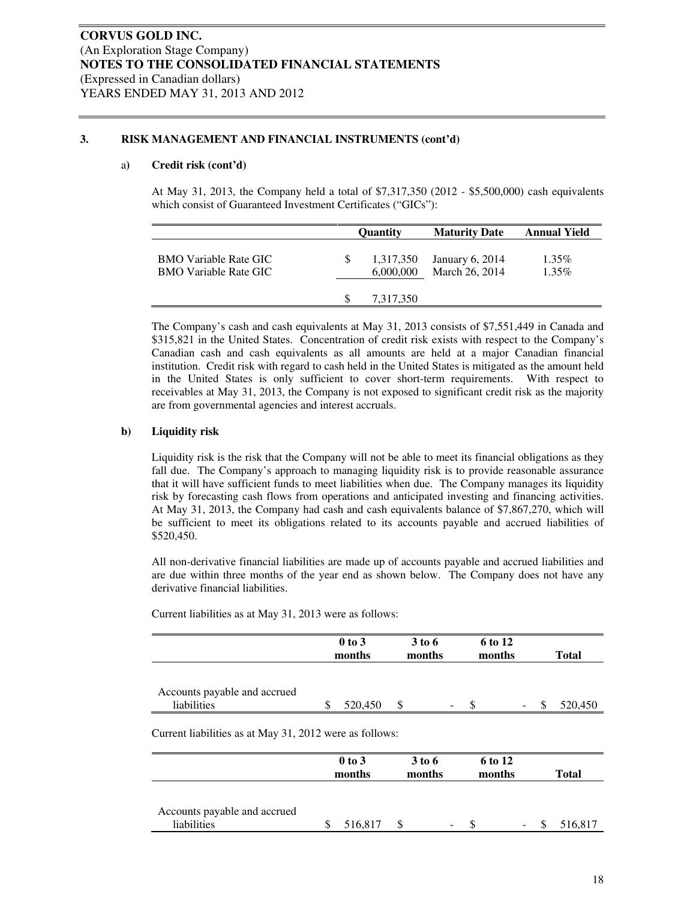### **3. RISK MANAGEMENT AND FINANCIAL INSTRUMENTS (cont'd)**

#### a**) Credit risk (cont'd)**

At May 31, 2013, the Company held a total of \$7,317,350 (2012 - \$5,500,000) cash equivalents which consist of Guaranteed Investment Certificates ("GICs"):

|                                                       | <b>Ouantity</b> |                        | <b>Maturity Date</b>                | <b>Annual Yield</b>  |
|-------------------------------------------------------|-----------------|------------------------|-------------------------------------|----------------------|
| BMO Variable Rate GIC<br><b>BMO</b> Variable Rate GIC |                 | 1,317,350<br>6,000,000 | January 6, $2014$<br>March 26, 2014 | $1.35\%$<br>$1.35\%$ |
|                                                       |                 | 7,317,350              |                                     |                      |

The Company's cash and cash equivalents at May 31, 2013 consists of \$7,551,449 in Canada and \$315,821 in the United States. Concentration of credit risk exists with respect to the Company's Canadian cash and cash equivalents as all amounts are held at a major Canadian financial institution. Credit risk with regard to cash held in the United States is mitigated as the amount held in the United States is only sufficient to cover short-term requirements. With respect to receivables at May 31, 2013, the Company is not exposed to significant credit risk as the majority are from governmental agencies and interest accruals.

### **b) Liquidity risk**

Liquidity risk is the risk that the Company will not be able to meet its financial obligations as they fall due. The Company's approach to managing liquidity risk is to provide reasonable assurance that it will have sufficient funds to meet liabilities when due. The Company manages its liquidity risk by forecasting cash flows from operations and anticipated investing and financing activities. At May 31, 2013, the Company had cash and cash equivalents balance of \$7,867,270, which will be sufficient to meet its obligations related to its accounts payable and accrued liabilities of \$520,450.

All non-derivative financial liabilities are made up of accounts payable and accrued liabilities and are due within three months of the year end as shown below. The Company does not have any derivative financial liabilities.

|                                                         | 0 to 3<br>months | 3 to 6<br>months | 6 to 12<br>months | <b>Total</b>  |
|---------------------------------------------------------|------------------|------------------|-------------------|---------------|
| Accounts payable and accrued<br>liabilities             | \$<br>520,450    | \$               | \$                | 520,450<br>\$ |
| Current liabilities as at May 31, 2012 were as follows: |                  |                  |                   |               |
|                                                         | 0 to 3<br>months | 3 to 6<br>months | 6 to 12<br>months | <b>Total</b>  |
| Accounts payable and accrued<br>liabilities             | 516,817<br>\$    | \$               | S                 | 516.817<br>S  |

Current liabilities as at May 31, 2013 were as follows: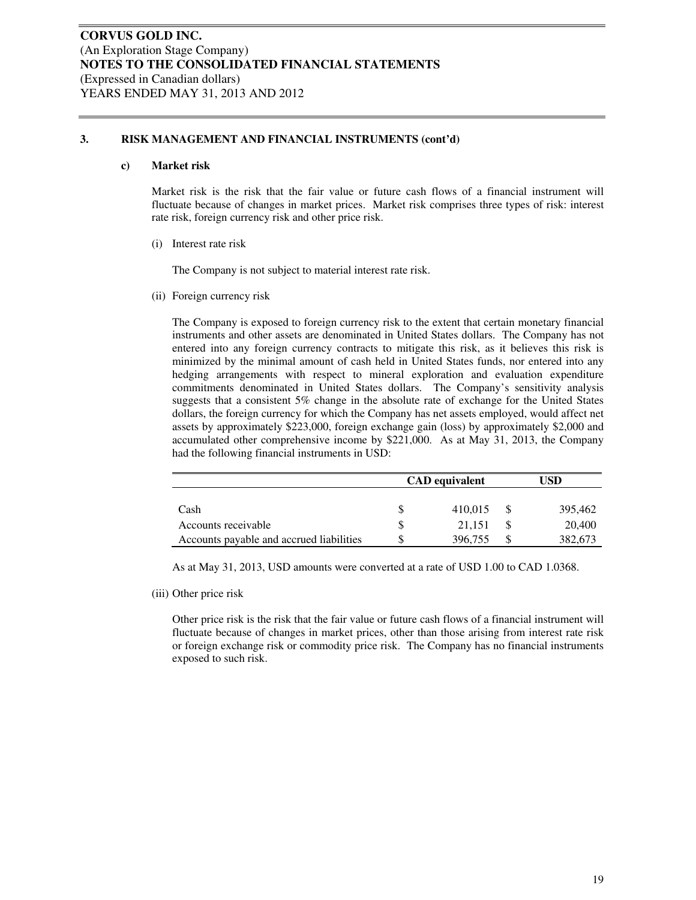### **3. RISK MANAGEMENT AND FINANCIAL INSTRUMENTS (cont'd)**

#### **c) Market risk**

Market risk is the risk that the fair value or future cash flows of a financial instrument will fluctuate because of changes in market prices. Market risk comprises three types of risk: interest rate risk, foreign currency risk and other price risk.

(i) Interest rate risk

The Company is not subject to material interest rate risk.

(ii) Foreign currency risk

The Company is exposed to foreign currency risk to the extent that certain monetary financial instruments and other assets are denominated in United States dollars. The Company has not entered into any foreign currency contracts to mitigate this risk, as it believes this risk is minimized by the minimal amount of cash held in United States funds, nor entered into any hedging arrangements with respect to mineral exploration and evaluation expenditure commitments denominated in United States dollars. The Company's sensitivity analysis suggests that a consistent 5% change in the absolute rate of exchange for the United States dollars, the foreign currency for which the Company has net assets employed, would affect net assets by approximately \$223,000, foreign exchange gain (loss) by approximately \$2,000 and accumulated other comprehensive income by \$221,000. As at May 31, 2013, the Company had the following financial instruments in USD:

|                                          | <b>CAD</b> equivalent |         |   | USD     |  |  |
|------------------------------------------|-----------------------|---------|---|---------|--|--|
|                                          |                       |         |   |         |  |  |
| Cash                                     |                       | 410,015 |   | 395,462 |  |  |
| Accounts receivable                      |                       | 21.151  |   | 20,400  |  |  |
| Accounts payable and accrued liabilities |                       | 396.755 | S | 382,673 |  |  |

As at May 31, 2013, USD amounts were converted at a rate of USD 1.00 to CAD 1.0368.

(iii) Other price risk

Other price risk is the risk that the fair value or future cash flows of a financial instrument will fluctuate because of changes in market prices, other than those arising from interest rate risk or foreign exchange risk or commodity price risk. The Company has no financial instruments exposed to such risk.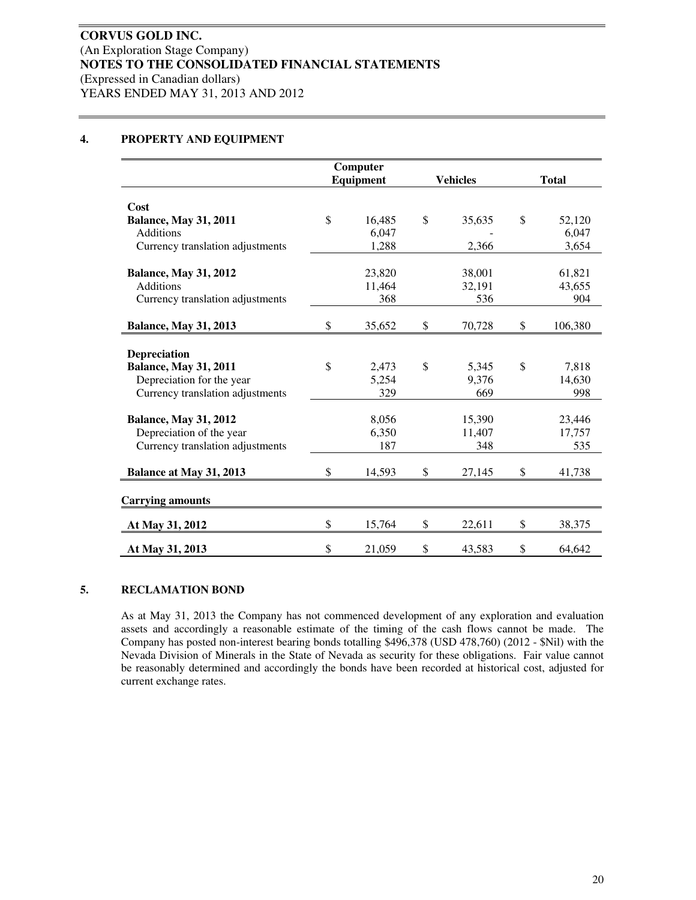## **4. PROPERTY AND EQUIPMENT**

|                                  | Computer<br>Equipment |        | <b>Vehicles</b> | <b>Total</b>  |
|----------------------------------|-----------------------|--------|-----------------|---------------|
|                                  |                       |        |                 |               |
| Cost                             |                       |        |                 |               |
| <b>Balance, May 31, 2011</b>     | \$                    | 16,485 | \$<br>35,635    | \$<br>52,120  |
| <b>Additions</b>                 |                       | 6,047  |                 | 6,047         |
| Currency translation adjustments |                       | 1,288  | 2,366           | 3,654         |
| <b>Balance, May 31, 2012</b>     |                       | 23,820 | 38,001          | 61,821        |
| <b>Additions</b>                 |                       | 11,464 | 32,191          | 43,655        |
| Currency translation adjustments |                       | 368    | 536             | 904           |
| <b>Balance, May 31, 2013</b>     | \$                    | 35,652 | \$<br>70,728    | \$<br>106,380 |
|                                  |                       |        |                 |               |
| <b>Depreciation</b>              |                       |        |                 |               |
| <b>Balance, May 31, 2011</b>     | \$                    | 2,473  | \$<br>5,345     | \$<br>7,818   |
| Depreciation for the year        |                       | 5,254  | 9,376           | 14,630        |
| Currency translation adjustments |                       | 329    | 669             | 998           |
| <b>Balance, May 31, 2012</b>     |                       | 8,056  | 15,390          | 23,446        |
| Depreciation of the year         |                       | 6,350  | 11,407          | 17,757        |
| Currency translation adjustments |                       | 187    | 348             | 535           |
| Balance at May 31, 2013          | \$                    | 14,593 | \$<br>27,145    | \$<br>41,738  |
| <b>Carrying amounts</b>          |                       |        |                 |               |
| At May 31, 2012                  | \$                    | 15,764 | \$<br>22,611    | \$<br>38,375  |
| At May 31, 2013                  | \$                    | 21,059 | \$<br>43,583    | \$<br>64,642  |

### **5. RECLAMATION BOND**

As at May 31, 2013 the Company has not commenced development of any exploration and evaluation assets and accordingly a reasonable estimate of the timing of the cash flows cannot be made. The Company has posted non-interest bearing bonds totalling \$496,378 (USD 478,760) (2012 - \$Nil) with the Nevada Division of Minerals in the State of Nevada as security for these obligations. Fair value cannot be reasonably determined and accordingly the bonds have been recorded at historical cost, adjusted for current exchange rates.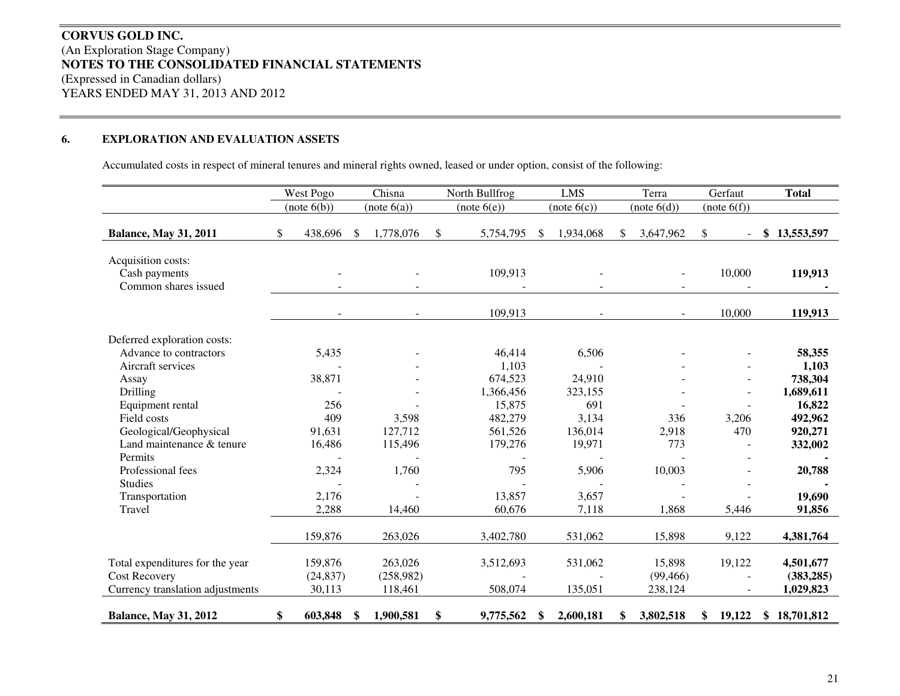# **CORVUS GOLD INC.** (An Exploration Stage Company) **NOTES TO THE CONSOLIDATED FINANCIAL STATEMENTS** (Expressed in Canadian dollars) YEARS ENDED MAY 31, 2013 AND 2012

#### **6.EXPLORATION AND EVALUATION ASSETS**

Accumulated costs in respect of mineral tenures and mineral rights owned, leased or under option, consist of the following:

|                                                             | West Pogo     |               | Chisna      | North Bullfrog  |    | <b>LMS</b>  |    | Terra       | Gerfaut     | <b>Total</b>     |
|-------------------------------------------------------------|---------------|---------------|-------------|-----------------|----|-------------|----|-------------|-------------|------------------|
|                                                             | (note (6(b))  |               | (note 6(a)) | (note(6(e))     |    | (note 6(c)) |    | (note 6(d)) | (note 6(f)) |                  |
| <b>Balance, May 31, 2011</b>                                | \$<br>438,696 | <sup>\$</sup> | 1,778,076   | \$<br>5,754,795 | -S | 1,934,068   | S. | 3,647,962   | \$          | \$<br>13,553,597 |
| Acquisition costs:<br>Cash payments<br>Common shares issued |               |               |             | 109,913         |    |             |    |             | 10,000      | 119,913          |
|                                                             |               |               |             | 109,913         |    |             |    |             | 10,000      | 119,913          |
| Deferred exploration costs:                                 |               |               |             |                 |    |             |    |             |             |                  |
| Advance to contractors                                      | 5,435         |               |             | 46,414          |    | 6,506       |    |             |             | 58,355           |
| Aircraft services                                           |               |               |             | 1,103           |    |             |    |             |             | 1,103            |
| Assay                                                       | 38,871        |               |             | 674,523         |    | 24,910      |    |             |             | 738,304          |
| <b>Drilling</b>                                             |               |               |             | 1,366,456       |    | 323,155     |    |             |             | 1,689,611        |
| Equipment rental                                            | 256           |               |             | 15,875          |    | 691         |    |             |             | 16,822           |
| Field costs                                                 | 409           |               | 3,598       | 482,279         |    | 3,134       |    | 336         | 3,206       | 492,962          |
| Geological/Geophysical                                      | 91,631        |               | 127,712     | 561,526         |    | 136,014     |    | 2,918       | 470         | 920,271          |
| Land maintenance & tenure                                   | 16,486        |               | 115,496     | 179,276         |    | 19,971      |    | 773         |             | 332,002          |
| Permits                                                     |               |               |             |                 |    |             |    |             |             |                  |
| Professional fees                                           | 2,324         |               | 1,760       | 795             |    | 5,906       |    | 10,003      |             | 20,788           |
| <b>Studies</b>                                              |               |               |             |                 |    |             |    |             |             |                  |
| Transportation                                              | 2,176         |               |             | 13,857          |    | 3,657       |    |             |             | 19,690           |
| Travel                                                      | 2,288         |               | 14,460      | 60,676          |    | 7,118       |    | 1,868       | 5,446       | 91,856           |
|                                                             |               |               |             |                 |    |             |    |             |             |                  |
|                                                             | 159,876       |               | 263,026     | 3,402,780       |    | 531,062     |    | 15,898      | 9,122       | 4,381,764        |
| Total expenditures for the year                             | 159,876       |               | 263,026     | 3,512,693       |    | 531,062     |    | 15,898      | 19,122      | 4,501,677        |
| <b>Cost Recovery</b>                                        | (24, 837)     |               | (258,982)   |                 |    |             |    | (99, 466)   |             | (383, 285)       |
| Currency translation adjustments                            | 30,113        |               | 118,461     | 508,074         |    | 135,051     |    | 238,124     |             | 1,029,823        |
| <b>Balance, May 31, 2012</b>                                | \$<br>603,848 | S             | 1,900,581   | \$<br>9,775,562 | \$ | 2,600,181   | S. | 3,802,518   | \$19,122    | \$18,701,812     |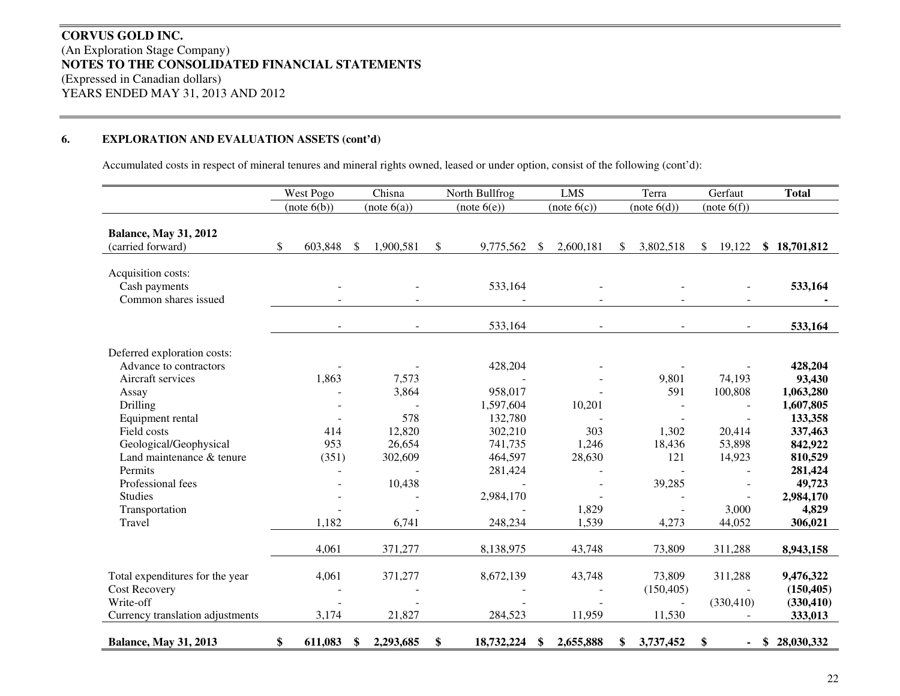# **CORVUS GOLD INC.** (An Exploration Stage Company) **NOTES TO THE CONSOLIDATED FINANCIAL STATEMENTS** (Expressed in Canadian dollars) YEARS ENDED MAY 31, 2013 AND 2012

## **6. EXPLORATION AND EVALUATION ASSETS (cont'd)**

Accumulated costs in respect of mineral tenures and mineral rights owned, leased or under option, consist of the following (cont'd):

|                                                                                                                                                                                                                                                                         | West Pogo                             | Chisna                                                                  | North Bullfrog                                                                                                 |    | <b>LMS</b>                                         | Terra                                                     | Gerfaut                                                            | <b>Total</b>                                                                                                                                  |
|-------------------------------------------------------------------------------------------------------------------------------------------------------------------------------------------------------------------------------------------------------------------------|---------------------------------------|-------------------------------------------------------------------------|----------------------------------------------------------------------------------------------------------------|----|----------------------------------------------------|-----------------------------------------------------------|--------------------------------------------------------------------|-----------------------------------------------------------------------------------------------------------------------------------------------|
|                                                                                                                                                                                                                                                                         | (note (6(b))                          | (note 6(a))                                                             | (note(6(e))                                                                                                    |    | (note 6(c))                                        | (note 6(d))                                               | (note 6(f))                                                        |                                                                                                                                               |
| <b>Balance, May 31, 2012</b><br>(carried forward)                                                                                                                                                                                                                       | \$<br>603,848                         | \$<br>1,900,581                                                         | \$<br>9,775,562                                                                                                | -S | 2,600,181                                          | \$<br>3,802,518                                           | \$<br>19,122                                                       | \$18,701,812                                                                                                                                  |
| Acquisition costs:<br>Cash payments<br>Common shares issued                                                                                                                                                                                                             |                                       |                                                                         | 533,164                                                                                                        |    |                                                    |                                                           |                                                                    | 533,164                                                                                                                                       |
|                                                                                                                                                                                                                                                                         |                                       |                                                                         | 533,164                                                                                                        |    |                                                    |                                                           |                                                                    | 533,164                                                                                                                                       |
| Deferred exploration costs:<br>Advance to contractors<br>Aircraft services<br>Assay<br><b>Drilling</b><br>Equipment rental<br>Field costs<br>Geological/Geophysical<br>Land maintenance & tenure<br>Permits<br>Professional fees<br>Studies<br>Transportation<br>Travel | 1,863<br>414<br>953<br>(351)<br>1,182 | 7,573<br>3,864<br>578<br>12,820<br>26,654<br>302,609<br>10,438<br>6,741 | 428,204<br>958,017<br>1,597,604<br>132,780<br>302,210<br>741,735<br>464,597<br>281,424<br>2,984,170<br>248,234 |    | 10,201<br>303<br>1,246<br>28,630<br>1,829<br>1,539 | 9,801<br>591<br>1,302<br>18,436<br>121<br>39,285<br>4,273 | 74,193<br>100,808<br>20,414<br>53,898<br>14,923<br>3,000<br>44,052 | 428,204<br>93,430<br>1,063,280<br>1,607,805<br>133,358<br>337,463<br>842,922<br>810,529<br>281,424<br>49,723<br>2,984,170<br>4,829<br>306,021 |
| Total expenditures for the year<br><b>Cost Recovery</b><br>Write-off                                                                                                                                                                                                    | 4,061<br>4,061                        | 371,277<br>371,277                                                      | 8,138,975<br>8,672,139                                                                                         |    | 43,748<br>43,748                                   | 73,809<br>73,809<br>(150, 405)                            | 311,288<br>311,288<br>(330, 410)                                   | 8,943,158<br>9,476,322<br>(150, 405)<br>(330, 410)                                                                                            |
| Currency translation adjustments<br><b>Balance, May 31, 2013</b>                                                                                                                                                                                                        | \$<br>3,174<br>611,083                | \$<br>21,827<br>2,293,685                                               | \$<br>284,523<br>18,732,224                                                                                    | \$ | 11,959<br>2,655,888                                | \$<br>11,530<br>3,737,452                                 | \$                                                                 | 333,013<br>\$28,030,332                                                                                                                       |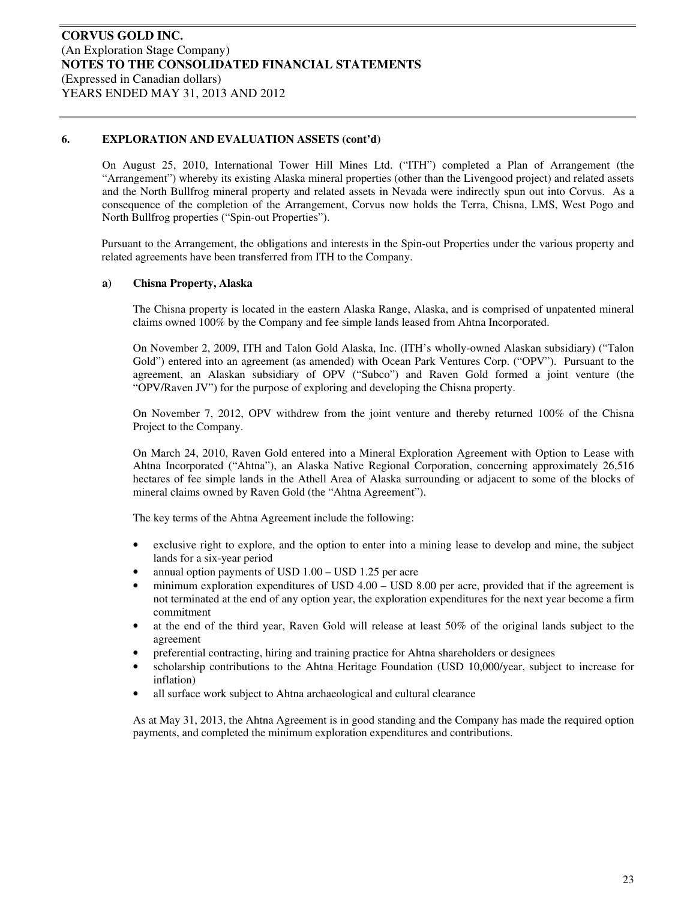On August 25, 2010, International Tower Hill Mines Ltd. ("ITH") completed a Plan of Arrangement (the "Arrangement") whereby its existing Alaska mineral properties (other than the Livengood project) and related assets and the North Bullfrog mineral property and related assets in Nevada were indirectly spun out into Corvus. As a consequence of the completion of the Arrangement, Corvus now holds the Terra, Chisna, LMS, West Pogo and North Bullfrog properties ("Spin-out Properties").

Pursuant to the Arrangement, the obligations and interests in the Spin-out Properties under the various property and related agreements have been transferred from ITH to the Company.

### **a) Chisna Property, Alaska**

The Chisna property is located in the eastern Alaska Range, Alaska, and is comprised of unpatented mineral claims owned 100% by the Company and fee simple lands leased from Ahtna Incorporated.

On November 2, 2009, ITH and Talon Gold Alaska, Inc. (ITH's wholly-owned Alaskan subsidiary) ("Talon Gold") entered into an agreement (as amended) with Ocean Park Ventures Corp. ("OPV"). Pursuant to the agreement, an Alaskan subsidiary of OPV ("Subco") and Raven Gold formed a joint venture (the "OPV/Raven JV") for the purpose of exploring and developing the Chisna property.

On November 7, 2012, OPV withdrew from the joint venture and thereby returned 100% of the Chisna Project to the Company.

On March 24, 2010, Raven Gold entered into a Mineral Exploration Agreement with Option to Lease with Ahtna Incorporated ("Ahtna"), an Alaska Native Regional Corporation, concerning approximately 26,516 hectares of fee simple lands in the Athell Area of Alaska surrounding or adjacent to some of the blocks of mineral claims owned by Raven Gold (the "Ahtna Agreement").

The key terms of the Ahtna Agreement include the following:

- exclusive right to explore, and the option to enter into a mining lease to develop and mine, the subject lands for a six-year period
- annual option payments of USD 1.00 USD 1.25 per acre
- minimum exploration expenditures of USD 4.00 USD 8.00 per acre, provided that if the agreement is not terminated at the end of any option year, the exploration expenditures for the next year become a firm commitment
- at the end of the third year, Raven Gold will release at least 50% of the original lands subject to the agreement
- preferential contracting, hiring and training practice for Ahtna shareholders or designees
- scholarship contributions to the Ahtna Heritage Foundation (USD 10,000/year, subject to increase for inflation)
- all surface work subject to Ahtna archaeological and cultural clearance

As at May 31, 2013, the Ahtna Agreement is in good standing and the Company has made the required option payments, and completed the minimum exploration expenditures and contributions.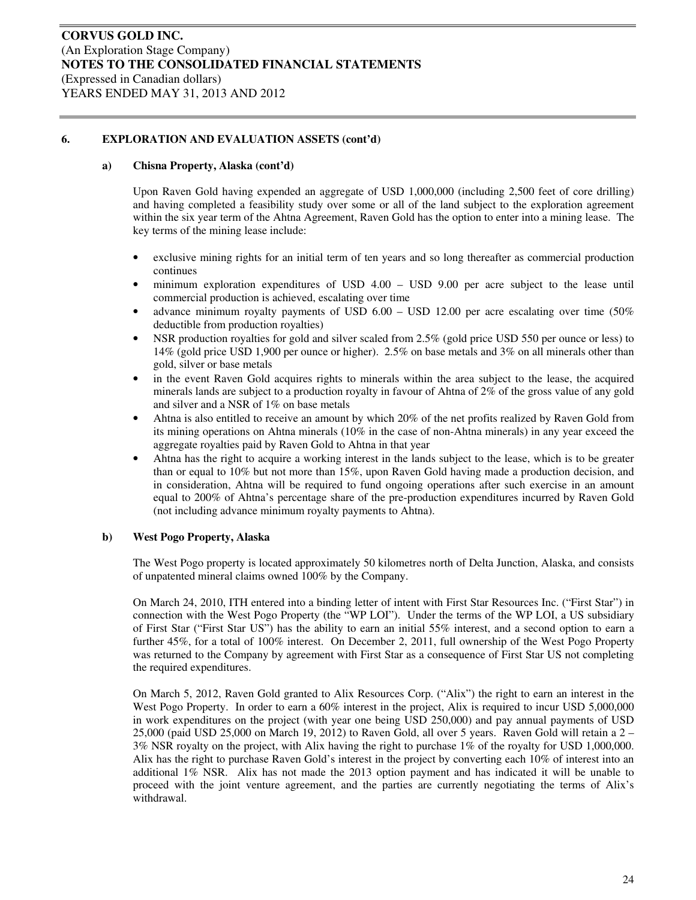#### **a) Chisna Property, Alaska (cont'd)**

Upon Raven Gold having expended an aggregate of USD 1,000,000 (including 2,500 feet of core drilling) and having completed a feasibility study over some or all of the land subject to the exploration agreement within the six year term of the Ahtna Agreement, Raven Gold has the option to enter into a mining lease. The key terms of the mining lease include:

- exclusive mining rights for an initial term of ten years and so long thereafter as commercial production continues
- minimum exploration expenditures of USD 4.00 USD 9.00 per acre subject to the lease until commercial production is achieved, escalating over time
- advance minimum royalty payments of USD  $6.00 -$  USD 12.00 per acre escalating over time (50%) deductible from production royalties)
- NSR production royalties for gold and silver scaled from 2.5% (gold price USD 550 per ounce or less) to 14% (gold price USD 1,900 per ounce or higher). 2.5% on base metals and 3% on all minerals other than gold, silver or base metals
- in the event Raven Gold acquires rights to minerals within the area subject to the lease, the acquired minerals lands are subject to a production royalty in favour of Ahtna of 2% of the gross value of any gold and silver and a NSR of 1% on base metals
- Ahtna is also entitled to receive an amount by which 20% of the net profits realized by Raven Gold from its mining operations on Ahtna minerals (10% in the case of non-Ahtna minerals) in any year exceed the aggregate royalties paid by Raven Gold to Ahtna in that year
- Ahtna has the right to acquire a working interest in the lands subject to the lease, which is to be greater than or equal to 10% but not more than 15%, upon Raven Gold having made a production decision, and in consideration, Ahtna will be required to fund ongoing operations after such exercise in an amount equal to 200% of Ahtna's percentage share of the pre-production expenditures incurred by Raven Gold (not including advance minimum royalty payments to Ahtna).

#### **b) West Pogo Property, Alaska**

The West Pogo property is located approximately 50 kilometres north of Delta Junction, Alaska, and consists of unpatented mineral claims owned 100% by the Company.

On March 24, 2010, ITH entered into a binding letter of intent with First Star Resources Inc. ("First Star") in connection with the West Pogo Property (the "WP LOI"). Under the terms of the WP LOI, a US subsidiary of First Star ("First Star US") has the ability to earn an initial 55% interest, and a second option to earn a further 45%, for a total of 100% interest. On December 2, 2011, full ownership of the West Pogo Property was returned to the Company by agreement with First Star as a consequence of First Star US not completing the required expenditures.

On March 5, 2012, Raven Gold granted to Alix Resources Corp. ("Alix") the right to earn an interest in the West Pogo Property. In order to earn a 60% interest in the project, Alix is required to incur USD 5,000,000 in work expenditures on the project (with year one being USD 250,000) and pay annual payments of USD 25,000 (paid USD 25,000 on March 19, 2012) to Raven Gold, all over 5 years. Raven Gold will retain a 2 – 3% NSR royalty on the project, with Alix having the right to purchase 1% of the royalty for USD 1,000,000. Alix has the right to purchase Raven Gold's interest in the project by converting each 10% of interest into an additional 1% NSR. Alix has not made the 2013 option payment and has indicated it will be unable to proceed with the joint venture agreement, and the parties are currently negotiating the terms of Alix's withdrawal.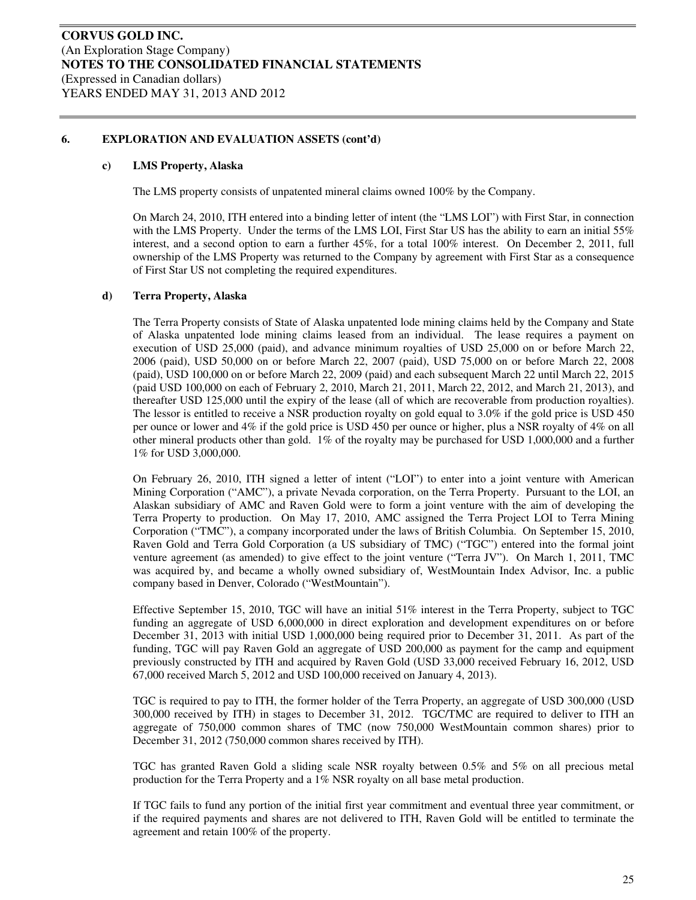#### **c) LMS Property, Alaska**

The LMS property consists of unpatented mineral claims owned 100% by the Company.

On March 24, 2010, ITH entered into a binding letter of intent (the "LMS LOI") with First Star, in connection with the LMS Property. Under the terms of the LMS LOI, First Star US has the ability to earn an initial 55% interest, and a second option to earn a further 45%, for a total 100% interest. On December 2, 2011, full ownership of the LMS Property was returned to the Company by agreement with First Star as a consequence of First Star US not completing the required expenditures.

### **d) Terra Property, Alaska**

The Terra Property consists of State of Alaska unpatented lode mining claims held by the Company and State of Alaska unpatented lode mining claims leased from an individual. The lease requires a payment on execution of USD 25,000 (paid), and advance minimum royalties of USD 25,000 on or before March 22, 2006 (paid), USD 50,000 on or before March 22, 2007 (paid), USD 75,000 on or before March 22, 2008 (paid), USD 100,000 on or before March 22, 2009 (paid) and each subsequent March 22 until March 22, 2015 (paid USD 100,000 on each of February 2, 2010, March 21, 2011, March 22, 2012, and March 21, 2013), and thereafter USD 125,000 until the expiry of the lease (all of which are recoverable from production royalties). The lessor is entitled to receive a NSR production royalty on gold equal to 3.0% if the gold price is USD 450 per ounce or lower and 4% if the gold price is USD 450 per ounce or higher, plus a NSR royalty of 4% on all other mineral products other than gold. 1% of the royalty may be purchased for USD 1,000,000 and a further 1% for USD 3,000,000.

On February 26, 2010, ITH signed a letter of intent ("LOI") to enter into a joint venture with American Mining Corporation ("AMC"), a private Nevada corporation, on the Terra Property. Pursuant to the LOI, an Alaskan subsidiary of AMC and Raven Gold were to form a joint venture with the aim of developing the Terra Property to production. On May 17, 2010, AMC assigned the Terra Project LOI to Terra Mining Corporation ("TMC"), a company incorporated under the laws of British Columbia. On September 15, 2010, Raven Gold and Terra Gold Corporation (a US subsidiary of TMC) ("TGC") entered into the formal joint venture agreement (as amended) to give effect to the joint venture ("Terra JV"). On March 1, 2011, TMC was acquired by, and became a wholly owned subsidiary of, WestMountain Index Advisor, Inc. a public company based in Denver, Colorado ("WestMountain").

Effective September 15, 2010, TGC will have an initial 51% interest in the Terra Property, subject to TGC funding an aggregate of USD 6,000,000 in direct exploration and development expenditures on or before December 31, 2013 with initial USD 1,000,000 being required prior to December 31, 2011. As part of the funding, TGC will pay Raven Gold an aggregate of USD 200,000 as payment for the camp and equipment previously constructed by ITH and acquired by Raven Gold (USD 33,000 received February 16, 2012, USD 67,000 received March 5, 2012 and USD 100,000 received on January 4, 2013).

TGC is required to pay to ITH, the former holder of the Terra Property, an aggregate of USD 300,000 (USD 300,000 received by ITH) in stages to December 31, 2012. TGC/TMC are required to deliver to ITH an aggregate of 750,000 common shares of TMC (now 750,000 WestMountain common shares) prior to December 31, 2012 (750,000 common shares received by ITH).

TGC has granted Raven Gold a sliding scale NSR royalty between 0.5% and 5% on all precious metal production for the Terra Property and a 1% NSR royalty on all base metal production.

If TGC fails to fund any portion of the initial first year commitment and eventual three year commitment, or if the required payments and shares are not delivered to ITH, Raven Gold will be entitled to terminate the agreement and retain 100% of the property.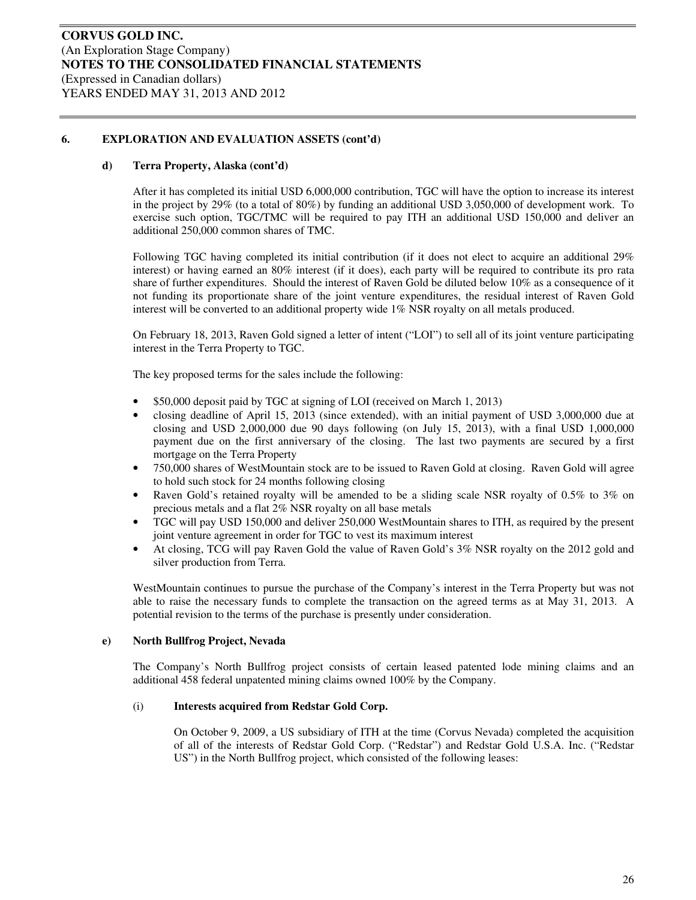### **d) Terra Property, Alaska (cont'd)**

After it has completed its initial USD 6,000,000 contribution, TGC will have the option to increase its interest in the project by 29% (to a total of 80%) by funding an additional USD 3,050,000 of development work. To exercise such option, TGC/TMC will be required to pay ITH an additional USD 150,000 and deliver an additional 250,000 common shares of TMC.

Following TGC having completed its initial contribution (if it does not elect to acquire an additional 29%) interest) or having earned an 80% interest (if it does), each party will be required to contribute its pro rata share of further expenditures. Should the interest of Raven Gold be diluted below 10% as a consequence of it not funding its proportionate share of the joint venture expenditures, the residual interest of Raven Gold interest will be converted to an additional property wide 1% NSR royalty on all metals produced.

On February 18, 2013, Raven Gold signed a letter of intent ("LOI") to sell all of its joint venture participating interest in the Terra Property to TGC.

The key proposed terms for the sales include the following:

- \$50,000 deposit paid by TGC at signing of LOI (received on March 1, 2013)
- closing deadline of April 15, 2013 (since extended), with an initial payment of USD 3,000,000 due at closing and USD 2,000,000 due 90 days following (on July 15, 2013), with a final USD 1,000,000 payment due on the first anniversary of the closing. The last two payments are secured by a first mortgage on the Terra Property
- 750,000 shares of WestMountain stock are to be issued to Raven Gold at closing. Raven Gold will agree to hold such stock for 24 months following closing
- Raven Gold's retained royalty will be amended to be a sliding scale NSR royalty of 0.5% to 3% on precious metals and a flat 2% NSR royalty on all base metals
- TGC will pay USD 150,000 and deliver 250,000 WestMountain shares to ITH, as required by the present joint venture agreement in order for TGC to vest its maximum interest
- At closing, TCG will pay Raven Gold the value of Raven Gold's 3% NSR royalty on the 2012 gold and silver production from Terra.

WestMountain continues to pursue the purchase of the Company's interest in the Terra Property but was not able to raise the necessary funds to complete the transaction on the agreed terms as at May 31, 2013. A potential revision to the terms of the purchase is presently under consideration.

#### **e) North Bullfrog Project, Nevada**

The Company's North Bullfrog project consists of certain leased patented lode mining claims and an additional 458 federal unpatented mining claims owned 100% by the Company.

#### (i) **Interests acquired from Redstar Gold Corp.**

On October 9, 2009, a US subsidiary of ITH at the time (Corvus Nevada) completed the acquisition of all of the interests of Redstar Gold Corp. ("Redstar") and Redstar Gold U.S.A. Inc. ("Redstar US") in the North Bullfrog project, which consisted of the following leases: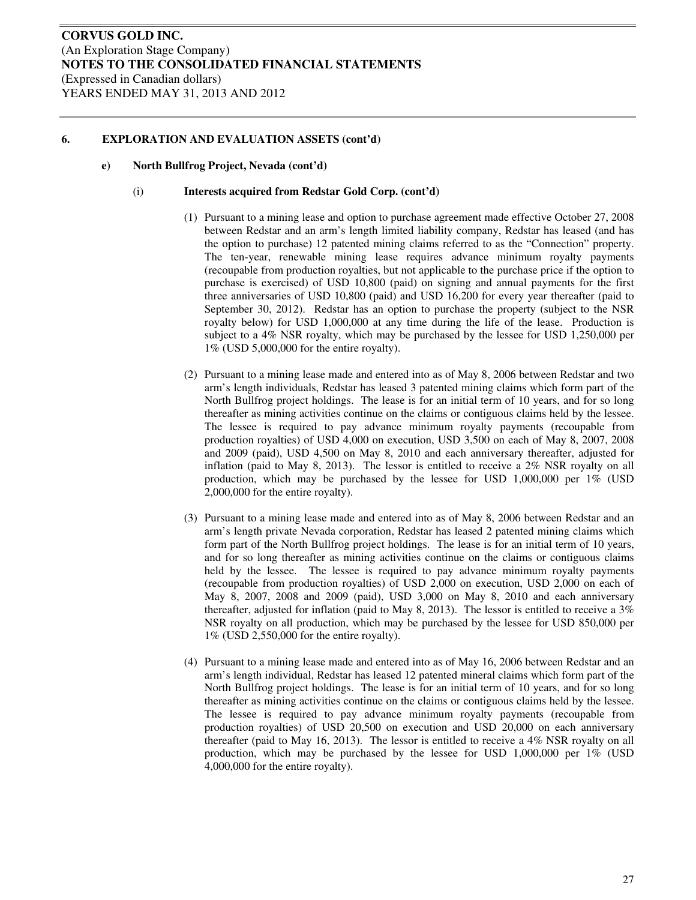#### **e) North Bullfrog Project, Nevada (cont'd)**

#### (i) **Interests acquired from Redstar Gold Corp. (cont'd)**

- (1) Pursuant to a mining lease and option to purchase agreement made effective October 27, 2008 between Redstar and an arm's length limited liability company, Redstar has leased (and has the option to purchase) 12 patented mining claims referred to as the "Connection" property. The ten-year, renewable mining lease requires advance minimum royalty payments (recoupable from production royalties, but not applicable to the purchase price if the option to purchase is exercised) of USD 10,800 (paid) on signing and annual payments for the first three anniversaries of USD 10,800 (paid) and USD 16,200 for every year thereafter (paid to September 30, 2012). Redstar has an option to purchase the property (subject to the NSR royalty below) for USD 1,000,000 at any time during the life of the lease. Production is subject to a 4% NSR royalty, which may be purchased by the lessee for USD 1,250,000 per 1% (USD 5,000,000 for the entire royalty).
- (2) Pursuant to a mining lease made and entered into as of May 8, 2006 between Redstar and two arm's length individuals, Redstar has leased 3 patented mining claims which form part of the North Bullfrog project holdings. The lease is for an initial term of 10 years, and for so long thereafter as mining activities continue on the claims or contiguous claims held by the lessee. The lessee is required to pay advance minimum royalty payments (recoupable from production royalties) of USD 4,000 on execution, USD 3,500 on each of May 8, 2007, 2008 and 2009 (paid), USD 4,500 on May 8, 2010 and each anniversary thereafter, adjusted for inflation (paid to May 8, 2013). The lessor is entitled to receive a 2% NSR royalty on all production, which may be purchased by the lessee for USD 1,000,000 per 1% (USD 2,000,000 for the entire royalty).
- (3) Pursuant to a mining lease made and entered into as of May 8, 2006 between Redstar and an arm's length private Nevada corporation, Redstar has leased 2 patented mining claims which form part of the North Bullfrog project holdings. The lease is for an initial term of 10 years, and for so long thereafter as mining activities continue on the claims or contiguous claims held by the lessee. The lessee is required to pay advance minimum royalty payments (recoupable from production royalties) of USD 2,000 on execution, USD 2,000 on each of May 8, 2007, 2008 and 2009 (paid), USD 3,000 on May 8, 2010 and each anniversary thereafter, adjusted for inflation (paid to May 8, 2013). The lessor is entitled to receive a 3% NSR royalty on all production, which may be purchased by the lessee for USD 850,000 per 1% (USD 2,550,000 for the entire royalty).
- (4) Pursuant to a mining lease made and entered into as of May 16, 2006 between Redstar and an arm's length individual, Redstar has leased 12 patented mineral claims which form part of the North Bullfrog project holdings. The lease is for an initial term of 10 years, and for so long thereafter as mining activities continue on the claims or contiguous claims held by the lessee. The lessee is required to pay advance minimum royalty payments (recoupable from production royalties) of USD 20,500 on execution and USD 20,000 on each anniversary thereafter (paid to May 16, 2013). The lessor is entitled to receive a 4% NSR royalty on all production, which may be purchased by the lessee for USD 1,000,000 per 1% (USD 4,000,000 for the entire royalty).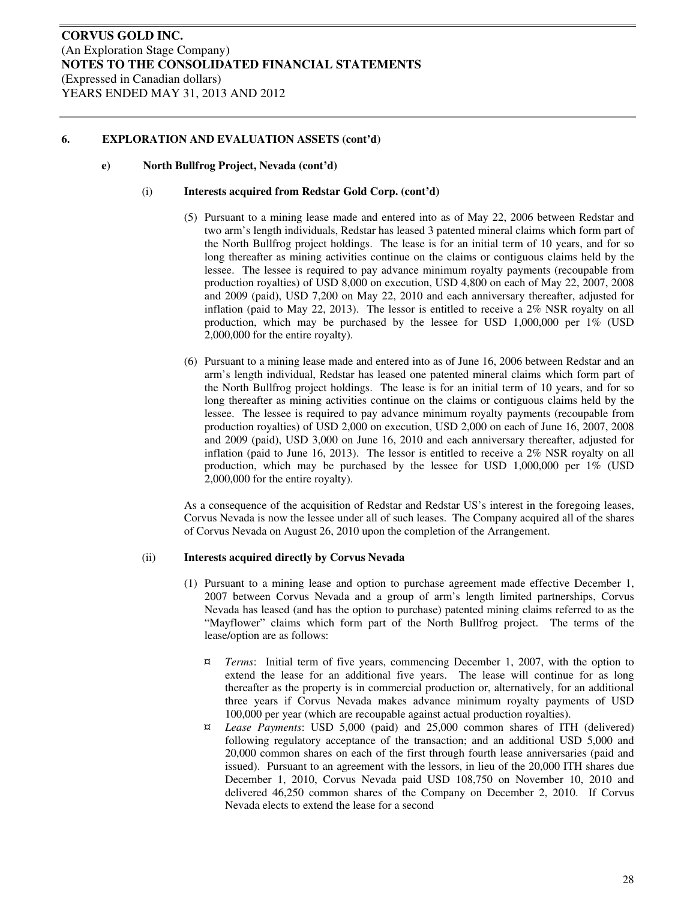#### **e) North Bullfrog Project, Nevada (cont'd)**

#### (i) **Interests acquired from Redstar Gold Corp. (cont'd)**

- (5) Pursuant to a mining lease made and entered into as of May 22, 2006 between Redstar and two arm's length individuals, Redstar has leased 3 patented mineral claims which form part of the North Bullfrog project holdings. The lease is for an initial term of 10 years, and for so long thereafter as mining activities continue on the claims or contiguous claims held by the lessee. The lessee is required to pay advance minimum royalty payments (recoupable from production royalties) of USD 8,000 on execution, USD 4,800 on each of May 22, 2007, 2008 and 2009 (paid), USD 7,200 on May 22, 2010 and each anniversary thereafter, adjusted for inflation (paid to May 22, 2013). The lessor is entitled to receive a 2% NSR royalty on all production, which may be purchased by the lessee for USD 1,000,000 per 1% (USD 2,000,000 for the entire royalty).
- (6) Pursuant to a mining lease made and entered into as of June 16, 2006 between Redstar and an arm's length individual, Redstar has leased one patented mineral claims which form part of the North Bullfrog project holdings. The lease is for an initial term of 10 years, and for so long thereafter as mining activities continue on the claims or contiguous claims held by the lessee. The lessee is required to pay advance minimum royalty payments (recoupable from production royalties) of USD 2,000 on execution, USD 2,000 on each of June 16, 2007, 2008 and 2009 (paid), USD 3,000 on June 16, 2010 and each anniversary thereafter, adjusted for inflation (paid to June 16, 2013). The lessor is entitled to receive a 2% NSR royalty on all production, which may be purchased by the lessee for USD 1,000,000 per 1% (USD 2,000,000 for the entire royalty).

As a consequence of the acquisition of Redstar and Redstar US's interest in the foregoing leases, Corvus Nevada is now the lessee under all of such leases. The Company acquired all of the shares of Corvus Nevada on August 26, 2010 upon the completion of the Arrangement.

#### (ii) **Interests acquired directly by Corvus Nevada**

- (1) Pursuant to a mining lease and option to purchase agreement made effective December 1, 2007 between Corvus Nevada and a group of arm's length limited partnerships, Corvus Nevada has leased (and has the option to purchase) patented mining claims referred to as the "Mayflower" claims which form part of the North Bullfrog project. The terms of the lease/option are as follows:
	- ¤ *Terms*: Initial term of five years, commencing December 1, 2007, with the option to extend the lease for an additional five years. The lease will continue for as long thereafter as the property is in commercial production or, alternatively, for an additional three years if Corvus Nevada makes advance minimum royalty payments of USD 100,000 per year (which are recoupable against actual production royalties).
	- ¤ *Lease Payments*: USD 5,000 (paid) and 25,000 common shares of ITH (delivered) following regulatory acceptance of the transaction; and an additional USD 5,000 and 20,000 common shares on each of the first through fourth lease anniversaries (paid and issued). Pursuant to an agreement with the lessors, in lieu of the 20,000 ITH shares due December 1, 2010, Corvus Nevada paid USD 108,750 on November 10, 2010 and delivered 46,250 common shares of the Company on December 2, 2010. If Corvus Nevada elects to extend the lease for a second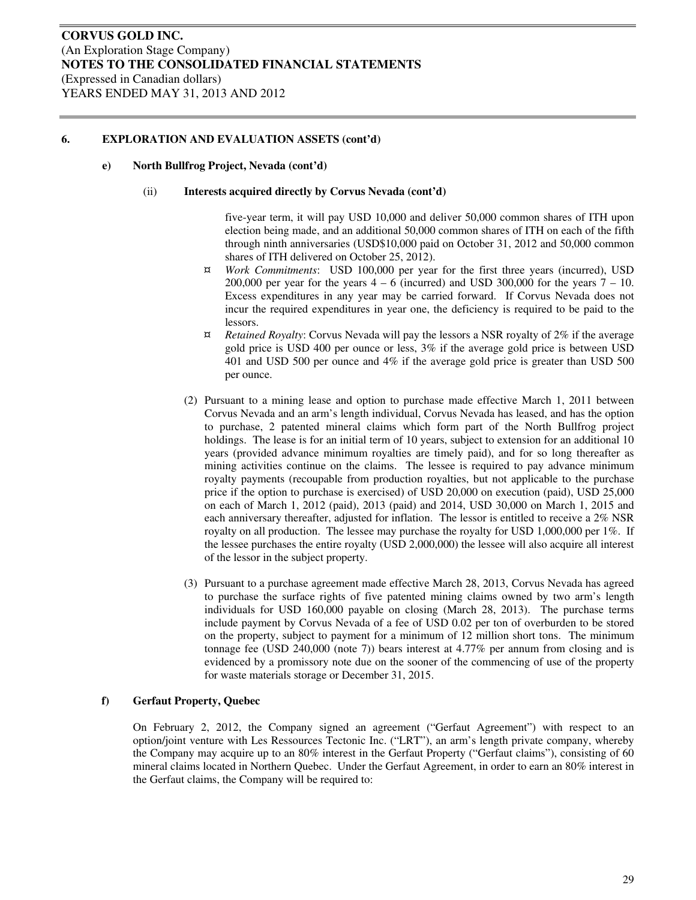### **e) North Bullfrog Project, Nevada (cont'd)**

### (ii) **Interests acquired directly by Corvus Nevada (cont'd)**

five-year term, it will pay USD 10,000 and deliver 50,000 common shares of ITH upon election being made, and an additional 50,000 common shares of ITH on each of the fifth through ninth anniversaries (USD\$10,000 paid on October 31, 2012 and 50,000 common shares of ITH delivered on October 25, 2012).

- ¤ *Work Commitments*: USD 100,000 per year for the first three years (incurred), USD 200,000 per year for the years  $4 - 6$  (incurred) and USD 300,000 for the years  $7 - 10$ . Excess expenditures in any year may be carried forward. If Corvus Nevada does not incur the required expenditures in year one, the deficiency is required to be paid to the lessors.
- ¤ *Retained Royalty*: Corvus Nevada will pay the lessors a NSR royalty of 2% if the average gold price is USD 400 per ounce or less, 3% if the average gold price is between USD 401 and USD 500 per ounce and 4% if the average gold price is greater than USD 500 per ounce.
- (2) Pursuant to a mining lease and option to purchase made effective March 1, 2011 between Corvus Nevada and an arm's length individual, Corvus Nevada has leased, and has the option to purchase, 2 patented mineral claims which form part of the North Bullfrog project holdings. The lease is for an initial term of 10 years, subject to extension for an additional 10 years (provided advance minimum royalties are timely paid), and for so long thereafter as mining activities continue on the claims. The lessee is required to pay advance minimum royalty payments (recoupable from production royalties, but not applicable to the purchase price if the option to purchase is exercised) of USD 20,000 on execution (paid), USD 25,000 on each of March 1, 2012 (paid), 2013 (paid) and 2014, USD 30,000 on March 1, 2015 and each anniversary thereafter, adjusted for inflation. The lessor is entitled to receive a 2% NSR royalty on all production. The lessee may purchase the royalty for USD 1,000,000 per 1%. If the lessee purchases the entire royalty (USD 2,000,000) the lessee will also acquire all interest of the lessor in the subject property.
- (3) Pursuant to a purchase agreement made effective March 28, 2013, Corvus Nevada has agreed to purchase the surface rights of five patented mining claims owned by two arm's length individuals for USD 160,000 payable on closing (March 28, 2013). The purchase terms include payment by Corvus Nevada of a fee of USD 0.02 per ton of overburden to be stored on the property, subject to payment for a minimum of 12 million short tons. The minimum tonnage fee (USD 240,000 (note 7)) bears interest at 4.77% per annum from closing and is evidenced by a promissory note due on the sooner of the commencing of use of the property for waste materials storage or December 31, 2015.

### **f) Gerfaut Property, Quebec**

On February 2, 2012, the Company signed an agreement ("Gerfaut Agreement") with respect to an option/joint venture with Les Ressources Tectonic Inc. ("LRT"), an arm's length private company, whereby the Company may acquire up to an 80% interest in the Gerfaut Property ("Gerfaut claims"), consisting of 60 mineral claims located in Northern Quebec. Under the Gerfaut Agreement, in order to earn an 80% interest in the Gerfaut claims, the Company will be required to: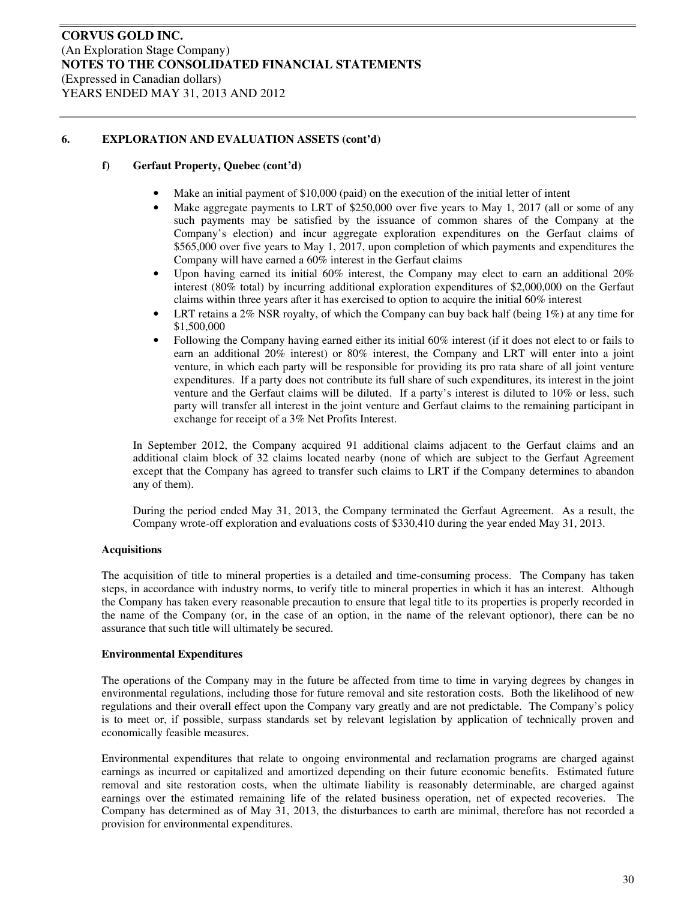### **f) Gerfaut Property, Quebec (cont'd)**

- Make an initial payment of \$10,000 (paid) on the execution of the initial letter of intent
- Make aggregate payments to LRT of \$250,000 over five years to May 1, 2017 (all or some of any such payments may be satisfied by the issuance of common shares of the Company at the Company's election) and incur aggregate exploration expenditures on the Gerfaut claims of \$565,000 over five years to May 1, 2017, upon completion of which payments and expenditures the Company will have earned a 60% interest in the Gerfaut claims
- Upon having earned its initial 60% interest, the Company may elect to earn an additional 20% interest (80% total) by incurring additional exploration expenditures of \$2,000,000 on the Gerfaut claims within three years after it has exercised to option to acquire the initial 60% interest
- LRT retains a 2% NSR royalty, of which the Company can buy back half (being 1%) at any time for \$1,500,000
- Following the Company having earned either its initial 60% interest (if it does not elect to or fails to earn an additional 20% interest) or 80% interest, the Company and LRT will enter into a joint venture, in which each party will be responsible for providing its pro rata share of all joint venture expenditures. If a party does not contribute its full share of such expenditures, its interest in the joint venture and the Gerfaut claims will be diluted. If a party's interest is diluted to 10% or less, such party will transfer all interest in the joint venture and Gerfaut claims to the remaining participant in exchange for receipt of a 3% Net Profits Interest.

In September 2012, the Company acquired 91 additional claims adjacent to the Gerfaut claims and an additional claim block of 32 claims located nearby (none of which are subject to the Gerfaut Agreement except that the Company has agreed to transfer such claims to LRT if the Company determines to abandon any of them).

During the period ended May 31, 2013, the Company terminated the Gerfaut Agreement. As a result, the Company wrote-off exploration and evaluations costs of \$330,410 during the year ended May 31, 2013.

### **Acquisitions**

The acquisition of title to mineral properties is a detailed and time-consuming process. The Company has taken steps, in accordance with industry norms, to verify title to mineral properties in which it has an interest. Although the Company has taken every reasonable precaution to ensure that legal title to its properties is properly recorded in the name of the Company (or, in the case of an option, in the name of the relevant optionor), there can be no assurance that such title will ultimately be secured.

#### **Environmental Expenditures**

The operations of the Company may in the future be affected from time to time in varying degrees by changes in environmental regulations, including those for future removal and site restoration costs. Both the likelihood of new regulations and their overall effect upon the Company vary greatly and are not predictable. The Company's policy is to meet or, if possible, surpass standards set by relevant legislation by application of technically proven and economically feasible measures.

Environmental expenditures that relate to ongoing environmental and reclamation programs are charged against earnings as incurred or capitalized and amortized depending on their future economic benefits. Estimated future removal and site restoration costs, when the ultimate liability is reasonably determinable, are charged against earnings over the estimated remaining life of the related business operation, net of expected recoveries. The Company has determined as of May 31, 2013, the disturbances to earth are minimal, therefore has not recorded a provision for environmental expenditures.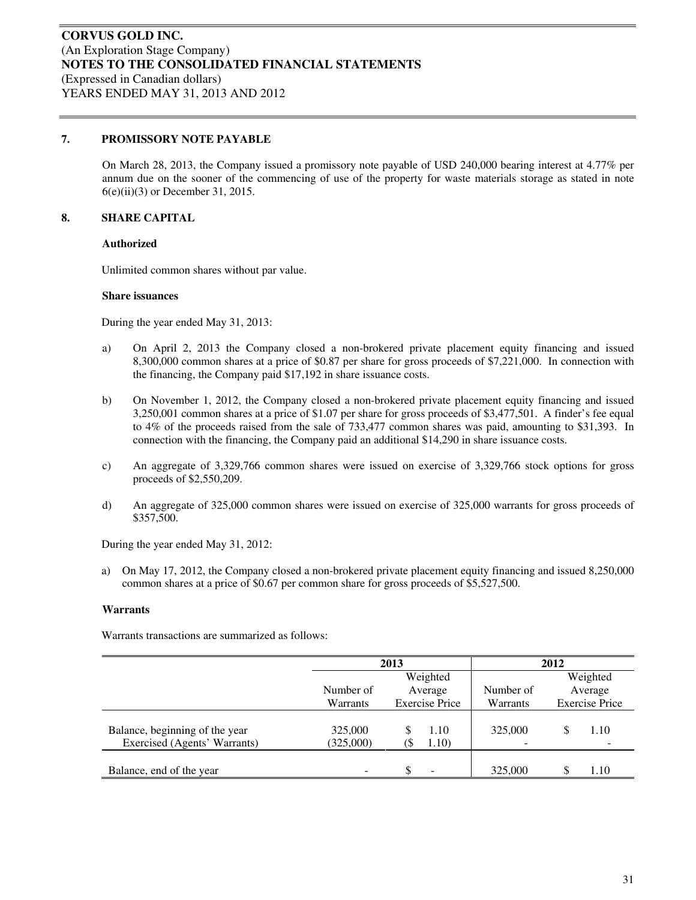### **7. PROMISSORY NOTE PAYABLE**

On March 28, 2013, the Company issued a promissory note payable of USD 240,000 bearing interest at 4.77% per annum due on the sooner of the commencing of use of the property for waste materials storage as stated in note 6(e)(ii)(3) or December 31, 2015.

# **8. SHARE CAPITAL**

### **Authorized**

Unlimited common shares without par value.

#### **Share issuances**

During the year ended May 31, 2013:

- a) On April 2, 2013 the Company closed a non-brokered private placement equity financing and issued 8,300,000 common shares at a price of \$0.87 per share for gross proceeds of \$7,221,000. In connection with the financing, the Company paid \$17,192 in share issuance costs.
- b) On November 1, 2012, the Company closed a non-brokered private placement equity financing and issued 3,250,001 common shares at a price of \$1.07 per share for gross proceeds of \$3,477,501. A finder's fee equal to 4% of the proceeds raised from the sale of 733,477 common shares was paid, amounting to \$31,393. In connection with the financing, the Company paid an additional \$14,290 in share issuance costs.
- c) An aggregate of 3,329,766 common shares were issued on exercise of 3,329,766 stock options for gross proceeds of \$2,550,209.
- d) An aggregate of 325,000 common shares were issued on exercise of 325,000 warrants for gross proceeds of \$357,500.

During the year ended May 31, 2012:

a) On May 17, 2012, the Company closed a non-brokered private placement equity financing and issued 8,250,000 common shares at a price of \$0.67 per common share for gross proceeds of \$5,527,500.

### **Warrants**

Warrants transactions are summarized as follows:

|                                                                |                      | 2013                  |           | 2012                  |
|----------------------------------------------------------------|----------------------|-----------------------|-----------|-----------------------|
|                                                                |                      | Weighted              |           | Weighted              |
|                                                                | Number of            | Average               | Number of | Average               |
|                                                                | Warrants             | <b>Exercise Price</b> | Warrants  | <b>Exercise Price</b> |
| Balance, beginning of the year<br>Exercised (Agents' Warrants) | 325,000<br>(325,000) | 1.10<br>1.10)<br>`S   | 325,000   | 1.10                  |
| Balance, end of the year                                       |                      | -S<br>-               | 325,000   | 1.10                  |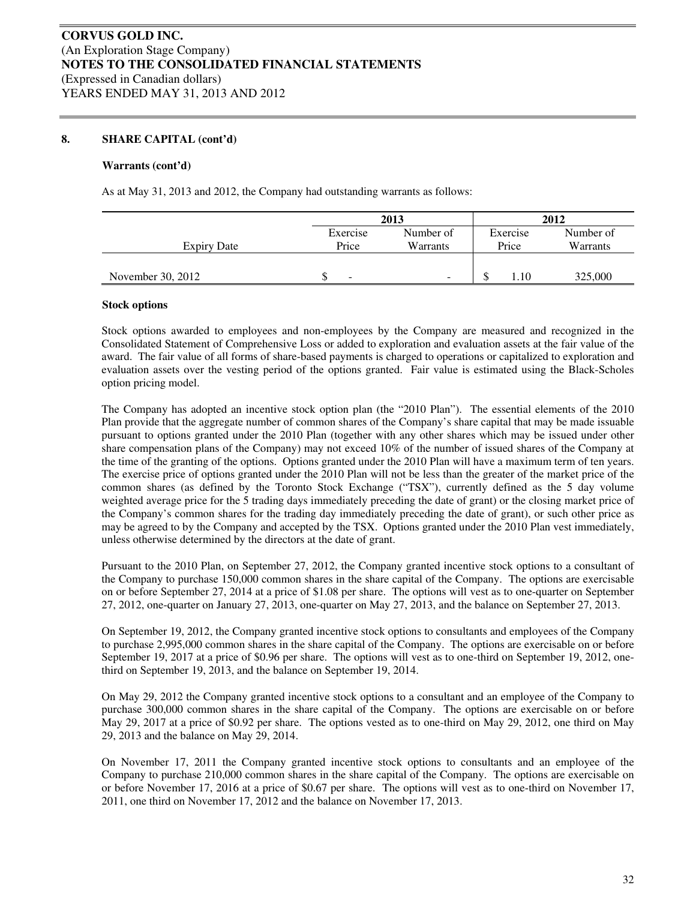### **8. SHARE CAPITAL (cont'd)**

### **Warrants (cont'd)**

As at May 31, 2013 and 2012, the Company had outstanding warrants as follows:

|                   |                          | 2013                     |          | 2012      |  |
|-------------------|--------------------------|--------------------------|----------|-----------|--|
|                   | Exercise                 | Number of                | Exercise | Number of |  |
| Expiry Date       | Price                    | Warrants                 | Price    | Warrants  |  |
|                   |                          |                          |          |           |  |
| November 30, 2012 | $\overline{\phantom{0}}$ | $\overline{\phantom{0}}$ | 1.10     | 325,000   |  |

#### **Stock options**

Stock options awarded to employees and non-employees by the Company are measured and recognized in the Consolidated Statement of Comprehensive Loss or added to exploration and evaluation assets at the fair value of the award. The fair value of all forms of share-based payments is charged to operations or capitalized to exploration and evaluation assets over the vesting period of the options granted. Fair value is estimated using the Black-Scholes option pricing model.

The Company has adopted an incentive stock option plan (the "2010 Plan"). The essential elements of the 2010 Plan provide that the aggregate number of common shares of the Company's share capital that may be made issuable pursuant to options granted under the 2010 Plan (together with any other shares which may be issued under other share compensation plans of the Company) may not exceed 10% of the number of issued shares of the Company at the time of the granting of the options. Options granted under the 2010 Plan will have a maximum term of ten years. The exercise price of options granted under the 2010 Plan will not be less than the greater of the market price of the common shares (as defined by the Toronto Stock Exchange ("TSX"), currently defined as the 5 day volume weighted average price for the 5 trading days immediately preceding the date of grant) or the closing market price of the Company's common shares for the trading day immediately preceding the date of grant), or such other price as may be agreed to by the Company and accepted by the TSX. Options granted under the 2010 Plan vest immediately, unless otherwise determined by the directors at the date of grant.

Pursuant to the 2010 Plan, on September 27, 2012, the Company granted incentive stock options to a consultant of the Company to purchase 150,000 common shares in the share capital of the Company. The options are exercisable on or before September 27, 2014 at a price of \$1.08 per share. The options will vest as to one-quarter on September 27, 2012, one-quarter on January 27, 2013, one-quarter on May 27, 2013, and the balance on September 27, 2013.

On September 19, 2012, the Company granted incentive stock options to consultants and employees of the Company to purchase 2,995,000 common shares in the share capital of the Company. The options are exercisable on or before September 19, 2017 at a price of \$0.96 per share. The options will vest as to one-third on September 19, 2012, onethird on September 19, 2013, and the balance on September 19, 2014.

On May 29, 2012 the Company granted incentive stock options to a consultant and an employee of the Company to purchase 300,000 common shares in the share capital of the Company. The options are exercisable on or before May 29, 2017 at a price of \$0.92 per share. The options vested as to one-third on May 29, 2012, one third on May 29, 2013 and the balance on May 29, 2014.

On November 17, 2011 the Company granted incentive stock options to consultants and an employee of the Company to purchase 210,000 common shares in the share capital of the Company. The options are exercisable on or before November 17, 2016 at a price of \$0.67 per share. The options will vest as to one-third on November 17, 2011, one third on November 17, 2012 and the balance on November 17, 2013.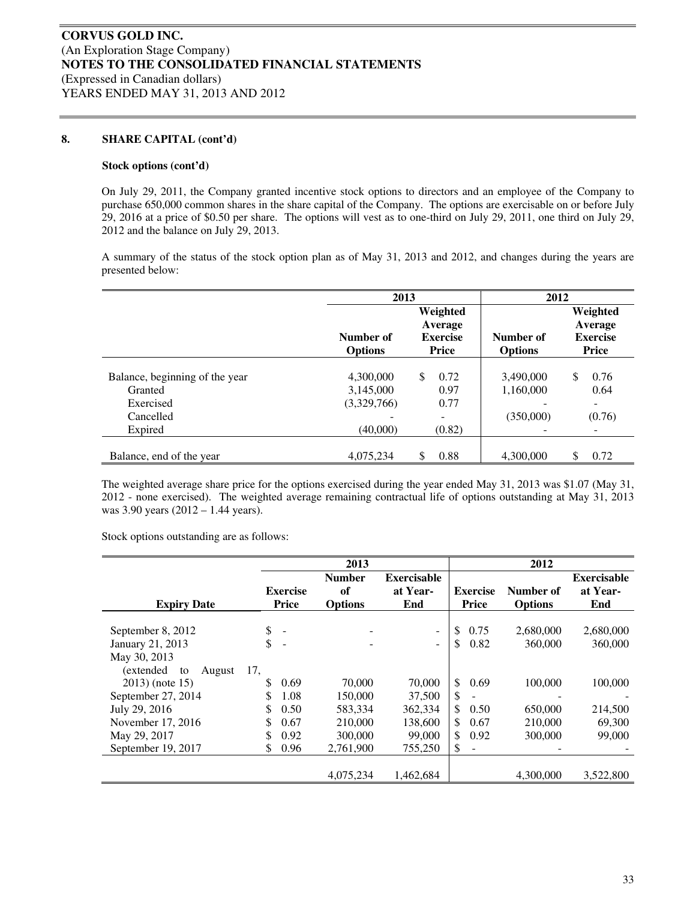### **8. SHARE CAPITAL (cont'd)**

#### **Stock options (cont'd)**

On July 29, 2011, the Company granted incentive stock options to directors and an employee of the Company to purchase 650,000 common shares in the share capital of the Company. The options are exercisable on or before July 29, 2016 at a price of \$0.50 per share. The options will vest as to one-third on July 29, 2011, one third on July 29, 2012 and the balance on July 29, 2013.

A summary of the status of the stock option plan as of May 31, 2013 and 2012, and changes during the years are presented below:

|                                | 2013                                                                                  |             | 2012                        |                                                        |
|--------------------------------|---------------------------------------------------------------------------------------|-------------|-----------------------------|--------------------------------------------------------|
|                                | Weighted<br>Average<br>Number of<br><b>Exercise</b><br><b>Price</b><br><b>Options</b> |             | Number of<br><b>Options</b> | Weighted<br>Average<br><b>Exercise</b><br><b>Price</b> |
|                                |                                                                                       | 0.72<br>\$. |                             | 0.76<br>\$                                             |
| Balance, beginning of the year | 4,300,000                                                                             |             | 3,490,000                   |                                                        |
| Granted                        | 3,145,000                                                                             | 0.97        | 1,160,000                   | 0.64                                                   |
| Exercised                      | (3,329,766)                                                                           | 0.77        |                             | $\overline{\phantom{0}}$                               |
| Cancelled                      |                                                                                       |             | (350,000)                   | (0.76)                                                 |
| Expired                        | (40,000)                                                                              | (0.82)      |                             |                                                        |
|                                |                                                                                       |             |                             |                                                        |
| Balance, end of the year       | 4.075.234                                                                             | 0.88<br>\$  | 4.300,000                   | \$<br>0.72                                             |

The weighted average share price for the options exercised during the year ended May 31, 2013 was \$1.07 (May 31, 2012 - none exercised). The weighted average remaining contractual life of options outstanding at May 31, 2013 was 3.90 years (2012 – 1.44 years).

Stock options outstanding are as follows:

|                                   |                 | 2013           |                    |                       | 2012           |                    |
|-----------------------------------|-----------------|----------------|--------------------|-----------------------|----------------|--------------------|
|                                   |                 | <b>Number</b>  | <b>Exercisable</b> |                       |                | <b>Exercisable</b> |
|                                   | <b>Exercise</b> | of             | at Year-           | <b>Exercise</b>       | Number of      | at Year-           |
| <b>Expiry Date</b>                | <b>Price</b>    | <b>Options</b> | End                | <b>Price</b>          | <b>Options</b> | End                |
| September 8, 2012                 | \$              |                |                    | \$.<br>0.75           | 2,680,000      | 2,680,000          |
| January 21, 2013                  | \$              |                |                    | \$<br>0.82            | 360,000        | 360,000            |
| May 30, 2013                      |                 |                |                    |                       |                |                    |
| (extended)<br>17.<br>to<br>August |                 |                |                    |                       |                |                    |
| 2013) (note 15)                   | \$<br>0.69      | 70,000         | 70,000             | \$<br>0.69            | 100,000        | 100,000            |
| September 27, 2014                | 1.08            | 150,000        | 37,500             | \$<br>٠               |                |                    |
| July 29, 2016                     | \$<br>0.50      | 583.334        | 362,334            | \$<br>0.50            | 650,000        | 214,500            |
| November 17, 2016                 | S<br>0.67       | 210,000        | 138,600            | \$.<br>0.67           | 210,000        | 69,300             |
| May 29, 2017                      | 0.92            | 300,000        | 99,000             | \$<br>0.92            | 300,000        | 99,000             |
| September 19, 2017                | 0.96            | 2,761,900      | 755,250            | \$<br>$\qquad \qquad$ |                |                    |
|                                   |                 |                |                    |                       |                |                    |
|                                   |                 | 4,075,234      | 1,462,684          |                       | 4,300,000      | 3,522,800          |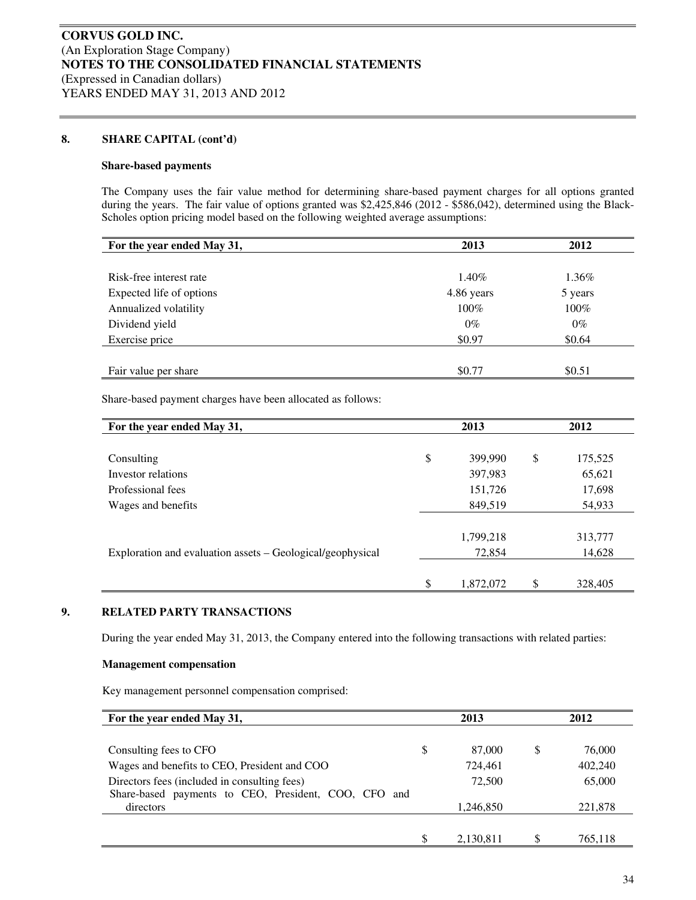### **8. SHARE CAPITAL (cont'd)**

#### **Share-based payments**

The Company uses the fair value method for determining share-based payment charges for all options granted during the years. The fair value of options granted was \$2,425,846 (2012 - \$586,042), determined using the Black-Scholes option pricing model based on the following weighted average assumptions:

| For the year ended May 31, | 2013       | 2012    |
|----------------------------|------------|---------|
|                            |            |         |
| Risk-free interest rate    | 1.40%      | 1.36%   |
| Expected life of options   | 4.86 years | 5 years |
| Annualized volatility      | $100\%$    | 100%    |
| Dividend yield             | $0\%$      | $0\%$   |
| Exercise price             | \$0.97     | \$0.64  |
|                            |            |         |
| Fair value per share       | \$0.77     | \$0.51  |

Share-based payment charges have been allocated as follows:

| For the year ended May 31,                                 | 2013            | 2012          |
|------------------------------------------------------------|-----------------|---------------|
|                                                            |                 |               |
| Consulting                                                 | \$<br>399,990   | \$<br>175,525 |
| Investor relations                                         | 397,983         | 65,621        |
| Professional fees                                          | 151,726         | 17,698        |
| Wages and benefits                                         | 849,519         | 54,933        |
|                                                            |                 |               |
|                                                            | 1,799,218       | 313,777       |
| Exploration and evaluation assets – Geological/geophysical | 72,854          | 14,628        |
|                                                            |                 |               |
|                                                            | \$<br>1,872,072 | \$<br>328,405 |

## **9. RELATED PARTY TRANSACTIONS**

During the year ended May 31, 2013, the Company entered into the following transactions with related parties:

### **Management compensation**

Key management personnel compensation comprised:

| For the year ended May 31,                           |    | 2013      |   | 2012    |  |  |
|------------------------------------------------------|----|-----------|---|---------|--|--|
|                                                      |    |           |   |         |  |  |
| Consulting fees to CFO                               | \$ | 87,000    | S | 76,000  |  |  |
| Wages and benefits to CEO, President and COO         |    | 724,461   |   | 402,240 |  |  |
| Directors fees (included in consulting fees)         |    | 72,500    |   | 65,000  |  |  |
| Share-based payments to CEO, President, COO, CFO and |    |           |   |         |  |  |
| directors                                            |    | 1,246,850 |   | 221,878 |  |  |
|                                                      |    |           |   |         |  |  |
|                                                      | \$ | 2.130.811 |   | 765.118 |  |  |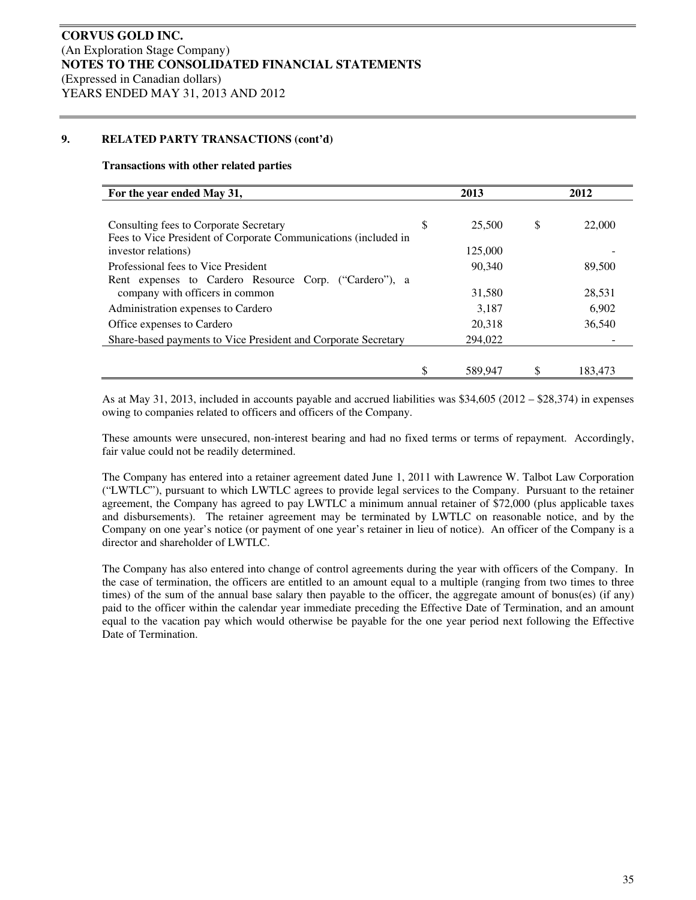# **9. RELATED PARTY TRANSACTIONS (cont'd)**

#### **Transactions with other related parties**

| For the year ended May 31,                                      |   | 2013    | 2012         |  |  |
|-----------------------------------------------------------------|---|---------|--------------|--|--|
|                                                                 |   |         |              |  |  |
| Consulting fees to Corporate Secretary                          | S | 25,500  | \$<br>22,000 |  |  |
| Fees to Vice President of Corporate Communications (included in |   |         |              |  |  |
| investor relations)                                             |   | 125,000 |              |  |  |
| Professional fees to Vice President                             |   | 90,340  | 89,500       |  |  |
| Rent expenses to Cardero Resource Corp. ("Cardero"), a          |   |         |              |  |  |
| company with officers in common                                 |   | 31,580  | 28,531       |  |  |
| Administration expenses to Cardero                              |   | 3,187   | 6,902        |  |  |
| Office expenses to Cardero                                      |   | 20.318  | 36,540       |  |  |
| Share-based payments to Vice President and Corporate Secretary  |   | 294,022 |              |  |  |
|                                                                 |   |         |              |  |  |
|                                                                 |   | 589,947 | 183,473      |  |  |

As at May 31, 2013, included in accounts payable and accrued liabilities was \$34,605 (2012 – \$28,374) in expenses owing to companies related to officers and officers of the Company.

These amounts were unsecured, non-interest bearing and had no fixed terms or terms of repayment. Accordingly, fair value could not be readily determined.

The Company has entered into a retainer agreement dated June 1, 2011 with Lawrence W. Talbot Law Corporation ("LWTLC"), pursuant to which LWTLC agrees to provide legal services to the Company. Pursuant to the retainer agreement, the Company has agreed to pay LWTLC a minimum annual retainer of \$72,000 (plus applicable taxes and disbursements). The retainer agreement may be terminated by LWTLC on reasonable notice, and by the Company on one year's notice (or payment of one year's retainer in lieu of notice). An officer of the Company is a director and shareholder of LWTLC.

The Company has also entered into change of control agreements during the year with officers of the Company. In the case of termination, the officers are entitled to an amount equal to a multiple (ranging from two times to three times) of the sum of the annual base salary then payable to the officer, the aggregate amount of bonus(es) (if any) paid to the officer within the calendar year immediate preceding the Effective Date of Termination, and an amount equal to the vacation pay which would otherwise be payable for the one year period next following the Effective Date of Termination.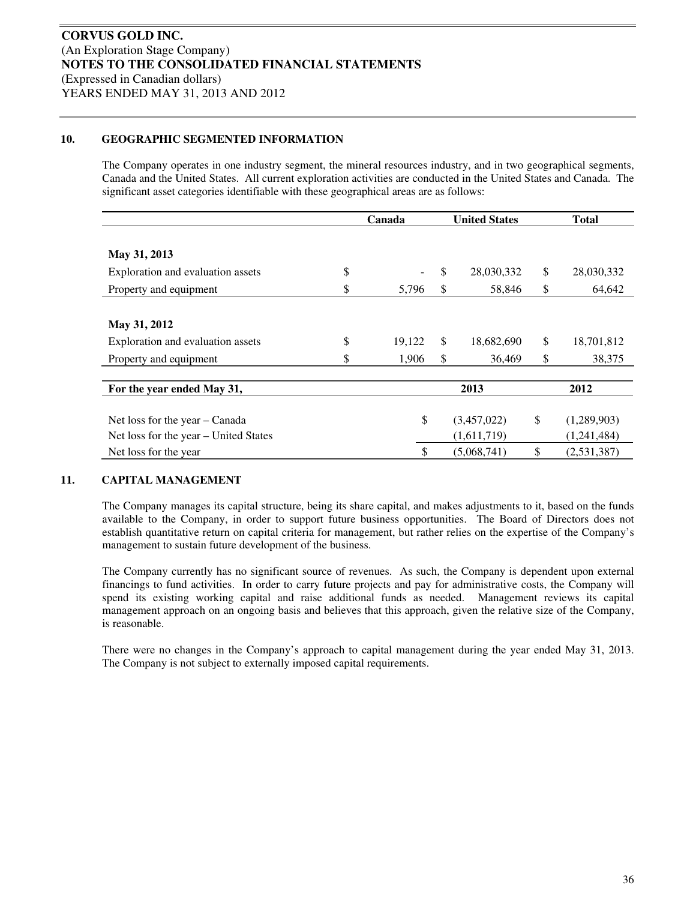### **10. GEOGRAPHIC SEGMENTED INFORMATION**

The Company operates in one industry segment, the mineral resources industry, and in two geographical segments, Canada and the United States. All current exploration activities are conducted in the United States and Canada. The significant asset categories identifiable with these geographical areas are as follows:

|                                       | Canada       |              | <b>United States</b> | <b>Total</b>      |
|---------------------------------------|--------------|--------------|----------------------|-------------------|
|                                       |              |              |                      |                   |
| May 31, 2013                          |              |              |                      |                   |
| Exploration and evaluation assets     | \$           | \$           | 28,030,332           | \$<br>28,030,332  |
| Property and equipment                | \$<br>5,796  | \$           | 58,846               | \$<br>64,642      |
|                                       |              |              |                      |                   |
| May 31, 2012                          |              |              |                      |                   |
| Exploration and evaluation assets     | \$<br>19,122 | $\mathbb{S}$ | 18,682,690           | \$<br>18,701,812  |
| Property and equipment                | \$<br>1,906  | \$           | 36,469               | \$<br>38,375      |
|                                       |              |              |                      |                   |
| For the year ended May 31,            |              |              | 2013                 | 2012              |
|                                       |              |              |                      |                   |
| Net loss for the year - Canada        | \$           |              | (3,457,022)          | \$<br>(1,289,903) |
| Net loss for the year – United States |              |              | (1,611,719)          | (1,241,484)       |
| Net loss for the year                 | \$           |              | (5,068,741)          | \$<br>(2,531,387) |

# **11. CAPITAL MANAGEMENT**

The Company manages its capital structure, being its share capital, and makes adjustments to it, based on the funds available to the Company, in order to support future business opportunities. The Board of Directors does not establish quantitative return on capital criteria for management, but rather relies on the expertise of the Company's management to sustain future development of the business.

The Company currently has no significant source of revenues. As such, the Company is dependent upon external financings to fund activities. In order to carry future projects and pay for administrative costs, the Company will spend its existing working capital and raise additional funds as needed. Management reviews its capital management approach on an ongoing basis and believes that this approach, given the relative size of the Company, is reasonable.

There were no changes in the Company's approach to capital management during the year ended May 31, 2013. The Company is not subject to externally imposed capital requirements.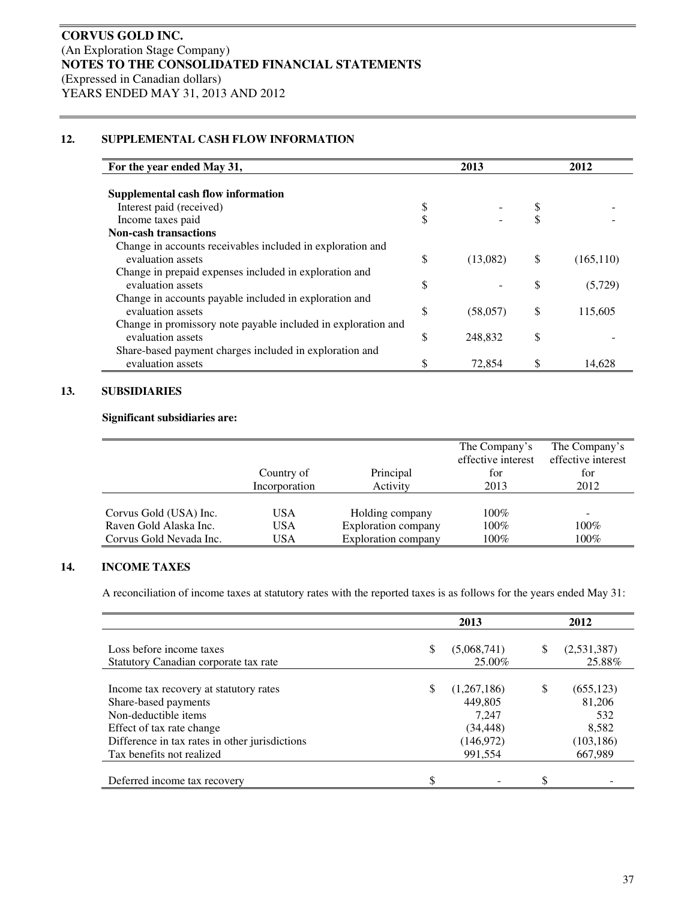# **12. SUPPLEMENTAL CASH FLOW INFORMATION**

| For the year ended May 31,                                    | 2013           | 2012             |
|---------------------------------------------------------------|----------------|------------------|
|                                                               |                |                  |
| Supplemental cash flow information                            |                |                  |
| Interest paid (received)                                      | \$             |                  |
| Income taxes paid                                             |                |                  |
| <b>Non-cash transactions</b>                                  |                |                  |
| Change in accounts receivables included in exploration and    |                |                  |
| evaluation assets                                             | \$<br>(13,082) | \$<br>(165, 110) |
| Change in prepaid expenses included in exploration and        |                |                  |
| evaluation assets                                             | \$             | \$<br>(5,729)    |
| Change in accounts payable included in exploration and        |                |                  |
| evaluation assets                                             | \$<br>(58,057) | \$<br>115,605    |
| Change in promissory note payable included in exploration and |                |                  |
| evaluation assets                                             | \$<br>248,832  | \$               |
| Share-based payment charges included in exploration and       |                |                  |
| evaluation assets                                             | 72,854         | 14.628           |

# **13. SUBSIDIARIES**

# **Significant subsidiaries are:**

|                         |               |                            | The Company's      | The Company's      |
|-------------------------|---------------|----------------------------|--------------------|--------------------|
|                         |               |                            | effective interest | effective interest |
|                         | Country of    | Principal                  | for                | for                |
|                         | Incorporation | Activity                   | 2013               | 2012               |
|                         |               |                            |                    |                    |
| Corvus Gold (USA) Inc.  | USA           | Holding company            | $100\%$            | -                  |
| Raven Gold Alaska Inc.  | USA           | <b>Exploration company</b> | 100%               | $100\%$            |
| Corvus Gold Nevada Inc. | USA           | <b>Exploration company</b> | 100%               | $100\%$            |

### **14. INCOME TAXES**

A reconciliation of income taxes at statutory rates with the reported taxes is as follows for the years ended May 31:

|                                                                                                                                                                                                    |    | 2013                                                                  | 2012                                                                |
|----------------------------------------------------------------------------------------------------------------------------------------------------------------------------------------------------|----|-----------------------------------------------------------------------|---------------------------------------------------------------------|
| Loss before income taxes<br>Statutory Canadian corporate tax rate                                                                                                                                  | \$ | (5,068,741)<br>25.00%                                                 | \$<br>(2,531,387)<br>25.88%                                         |
| Income tax recovery at statutory rates<br>Share-based payments<br>Non-deductible items<br>Effect of tax rate change<br>Difference in tax rates in other jurisdictions<br>Tax benefits not realized | \$ | (1,267,186)<br>449,805<br>7.247<br>(34, 448)<br>(146, 972)<br>991,554 | \$<br>(655, 123)<br>81,206<br>532<br>8,582<br>(103, 186)<br>667,989 |
| Deferred income tax recovery                                                                                                                                                                       | ዩ  |                                                                       |                                                                     |